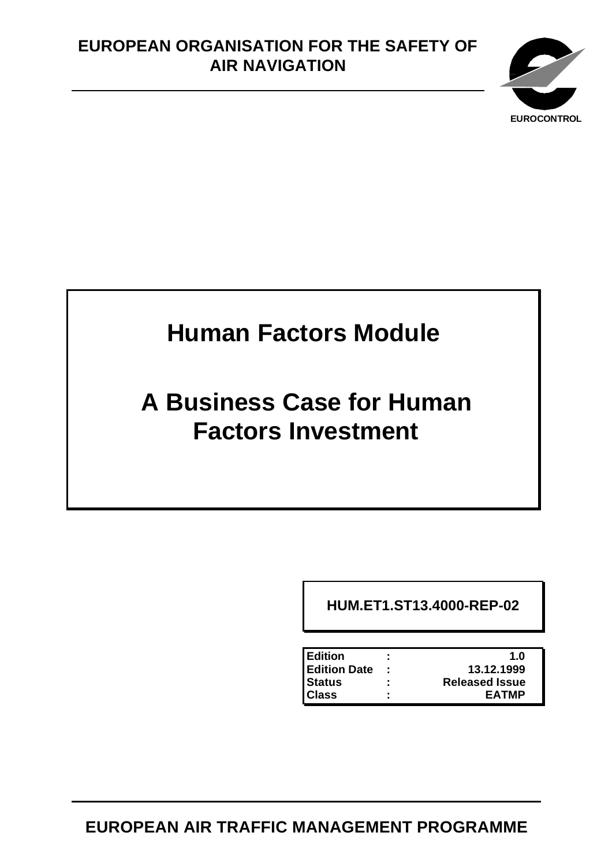# **EUROPEAN ORGANISATION FOR THE SAFETY OF AIR NAVIGATION**



# **Human Factors Module**

# **A Business Case for Human Factors Investment**

**HUM.ET1.ST13.4000-REP-02**

| <b>Edition</b>      | ٠      | 1.0                   |
|---------------------|--------|-----------------------|
| <b>Edition Date</b> | ÷      | 13.12.1999            |
| <b>Status</b>       | ٠      | <b>Released Issue</b> |
| <b>Class</b>        | ٠<br>٠ | <b>EATMP</b>          |

**EUROPEAN AIR TRAFFIC MANAGEMENT PROGRAMME**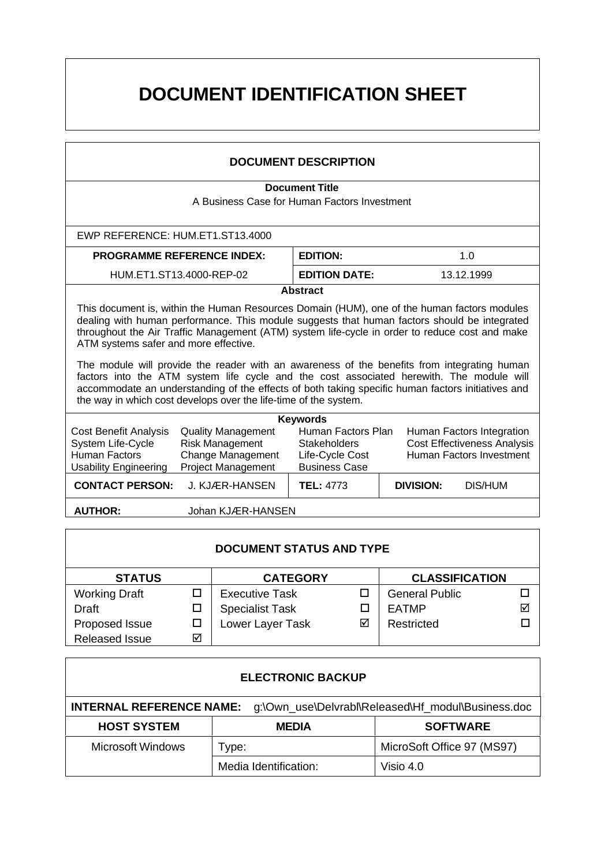# **DOCUMENT IDENTIFICATION SHEET**

| <b>DOCUMENT DESCRIPTION</b>                                                                                                                                                                                                                                                                                                                                                                                                                                                                                                                                                                                                                                                                                |                                                                |                       |                                    |  |  |
|------------------------------------------------------------------------------------------------------------------------------------------------------------------------------------------------------------------------------------------------------------------------------------------------------------------------------------------------------------------------------------------------------------------------------------------------------------------------------------------------------------------------------------------------------------------------------------------------------------------------------------------------------------------------------------------------------------|----------------------------------------------------------------|-----------------------|------------------------------------|--|--|
|                                                                                                                                                                                                                                                                                                                                                                                                                                                                                                                                                                                                                                                                                                            |                                                                | <b>Document Title</b> |                                    |  |  |
| A Business Case for Human Factors Investment                                                                                                                                                                                                                                                                                                                                                                                                                                                                                                                                                                                                                                                               |                                                                |                       |                                    |  |  |
| EWP REFERENCE: HUM ET1 ST13.4000                                                                                                                                                                                                                                                                                                                                                                                                                                                                                                                                                                                                                                                                           |                                                                |                       |                                    |  |  |
|                                                                                                                                                                                                                                                                                                                                                                                                                                                                                                                                                                                                                                                                                                            | <b>PROGRAMME REFERENCE INDEX:</b>                              | <b>EDITION:</b>       | 1.0                                |  |  |
|                                                                                                                                                                                                                                                                                                                                                                                                                                                                                                                                                                                                                                                                                                            | HUM ET1 ST13 4000-REP-02<br><b>EDITION DATE:</b><br>13.12.1999 |                       |                                    |  |  |
|                                                                                                                                                                                                                                                                                                                                                                                                                                                                                                                                                                                                                                                                                                            |                                                                | <b>Abstract</b>       |                                    |  |  |
| This document is, within the Human Resources Domain (HUM), one of the human factors modules<br>dealing with human performance. This module suggests that human factors should be integrated<br>throughout the Air Traffic Management (ATM) system life-cycle in order to reduce cost and make<br>ATM systems safer and more effective.<br>The module will provide the reader with an awareness of the benefits from integrating human<br>factors into the ATM system life cycle and the cost associated herewith. The module will<br>accommodate an understanding of the effects of both taking specific human factors initiatives and<br>the way in which cost develops over the life-time of the system. |                                                                |                       |                                    |  |  |
| <b>Keywords</b>                                                                                                                                                                                                                                                                                                                                                                                                                                                                                                                                                                                                                                                                                            |                                                                |                       |                                    |  |  |
| Human Factors Plan<br>Cost Benefit Analysis<br><b>Quality Management</b><br>Human Factors Integration<br><b>Cost Effectiveness Analysis</b><br>System Life-Cycle<br><b>Risk Management</b><br><b>Stakeholders</b><br><b>Human Factors</b><br><b>Human Factors Investment</b><br>Change Management<br>Life-Cycle Cost<br><b>Business Case</b><br><b>Project Management</b><br><b>Usability Engineering</b>                                                                                                                                                                                                                                                                                                  |                                                                |                       |                                    |  |  |
| <b>CONTACT PERSON:</b>                                                                                                                                                                                                                                                                                                                                                                                                                                                                                                                                                                                                                                                                                     | J. KJÆR-HANSEN                                                 | <b>TEL: 4773</b>      | <b>DIVISION:</b><br><b>DIS/HUM</b> |  |  |
| <b>AUTHOR:</b>                                                                                                                                                                                                                                                                                                                                                                                                                                                                                                                                                                                                                                                                                             | Johan KJÆR-HANSEN                                              |                       |                                    |  |  |

| <b>DOCUMENT STATUS AND TYPE</b>                           |   |                        |   |                       |   |
|-----------------------------------------------------------|---|------------------------|---|-----------------------|---|
| <b>CLASSIFICATION</b><br><b>STATUS</b><br><b>CATEGORY</b> |   |                        |   |                       |   |
| <b>Working Draft</b>                                      |   | <b>Executive Task</b>  |   | <b>General Public</b> |   |
| <b>Draft</b>                                              |   | <b>Specialist Task</b> |   | <b>EATMP</b>          | ☑ |
| Proposed Issue                                            |   | Lower Layer Task       | ☑ | Restricted            |   |
| <b>Released Issue</b>                                     | ⊽ |                        |   |                       |   |

| <b>ELECTRONIC BACKUP</b>                                                              |                       |                            |  |
|---------------------------------------------------------------------------------------|-----------------------|----------------------------|--|
| <b>INTERNAL REFERENCE NAME:</b><br>g:\Own_use\Delvrabl\Released\Hf_modul\Business.doc |                       |                            |  |
| <b>HOST SYSTEM</b>                                                                    | <b>MEDIA</b>          | <b>SOFTWARE</b>            |  |
| Microsoft Windows                                                                     | Type:                 | MicroSoft Office 97 (MS97) |  |
|                                                                                       | Media Identification: | Visio 4.0                  |  |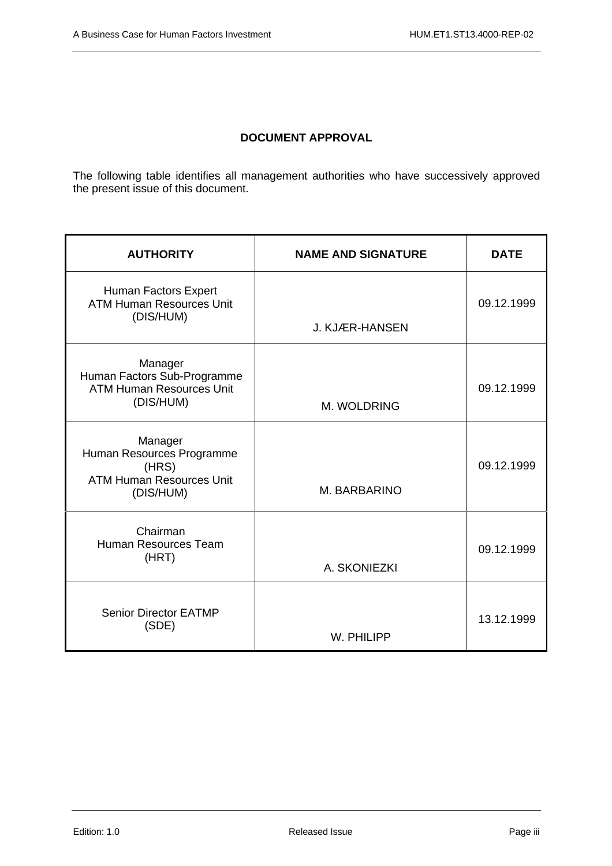# **DOCUMENT APPROVAL**

The following table identifies all management authorities who have successively approved the present issue of this document.

| <b>AUTHORITY</b>                                                                              | <b>NAME AND SIGNATURE</b> | <b>DATE</b> |
|-----------------------------------------------------------------------------------------------|---------------------------|-------------|
| Human Factors Expert<br><b>ATM Human Resources Unit</b><br>(DIS/HUM)                          | J. KJÆR-HANSEN            | 09.12.1999  |
| Manager<br>Human Factors Sub-Programme<br><b>ATM Human Resources Unit</b><br>(DIS/HUM)        | M. WOLDRING               | 09.12.1999  |
| Manager<br>Human Resources Programme<br>(HRS)<br><b>ATM Human Resources Unit</b><br>(DIS/HUM) | M. BARBARINO              | 09.12.1999  |
| Chairman<br><b>Human Resources Team</b><br>(HRT)                                              | A. SKONIEZKI              | 09.12.1999  |
| <b>Senior Director EATMP</b><br>(SDE)                                                         | W. PHILIPP                | 13.12.1999  |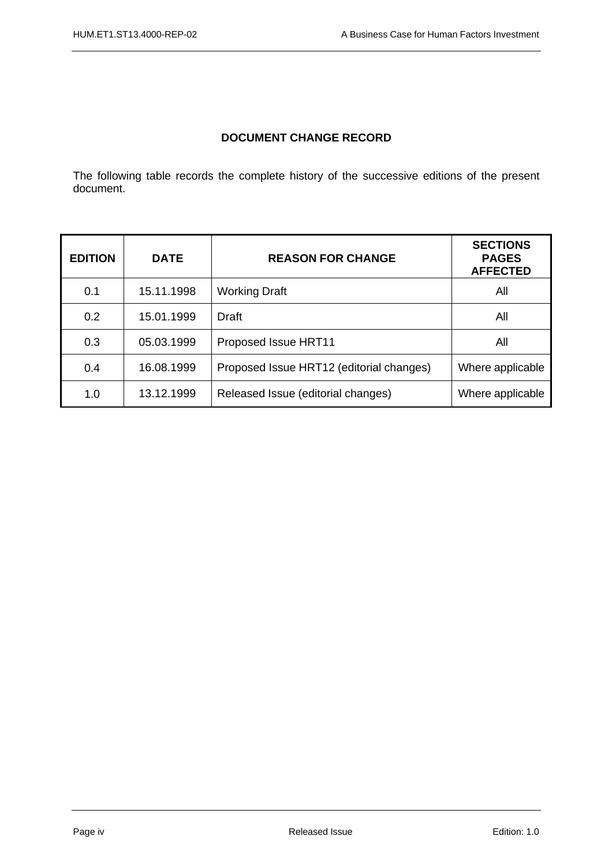# **DOCUMENT CHANGE RECORD**

The following table records the complete history of the successive editions of the present document.

| <b>EDITION</b> | <b>DATE</b> | <b>REASON FOR CHANGE</b>                 | <b>SECTIONS</b><br><b>PAGES</b><br><b>AFFECTED</b> |
|----------------|-------------|------------------------------------------|----------------------------------------------------|
| 0.1            | 15.11.1998  | <b>Working Draft</b>                     | All                                                |
| 0.2            | 15.01.1999  | Draft                                    | All                                                |
| 0.3            | 05.03.1999  | Proposed Issue HRT11                     | All                                                |
| 0.4            | 16.08.1999  | Proposed Issue HRT12 (editorial changes) | Where applicable                                   |
| 1.0            | 13.12.1999  | Released Issue (editorial changes)       | Where applicable                                   |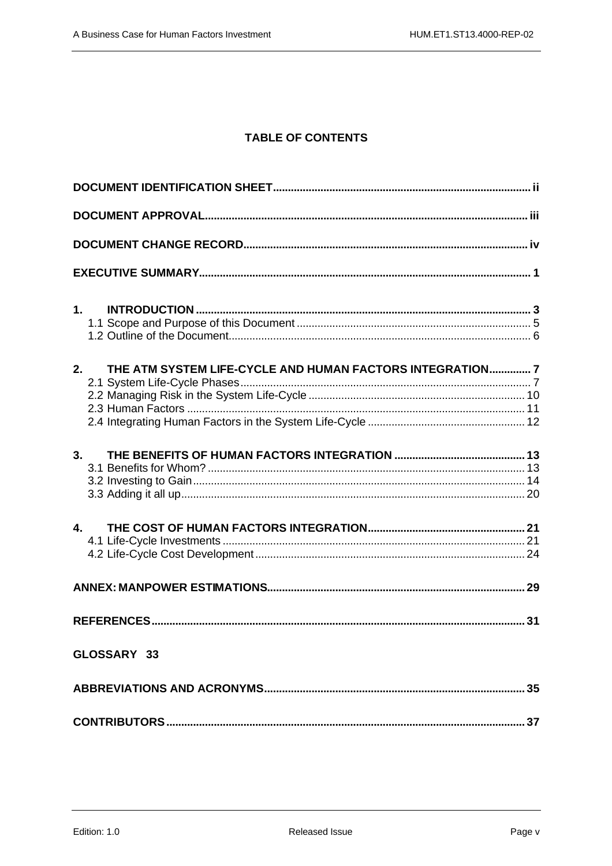# **TABLE OF CONTENTS**

| 1.                                                              |
|-----------------------------------------------------------------|
| 2.<br>THE ATM SYSTEM LIFE-CYCLE AND HUMAN FACTORS INTEGRATION 7 |
| 3.                                                              |
| $\mathbf{4}$ .                                                  |
|                                                                 |
|                                                                 |
| GLOSSARY 33                                                     |
|                                                                 |
|                                                                 |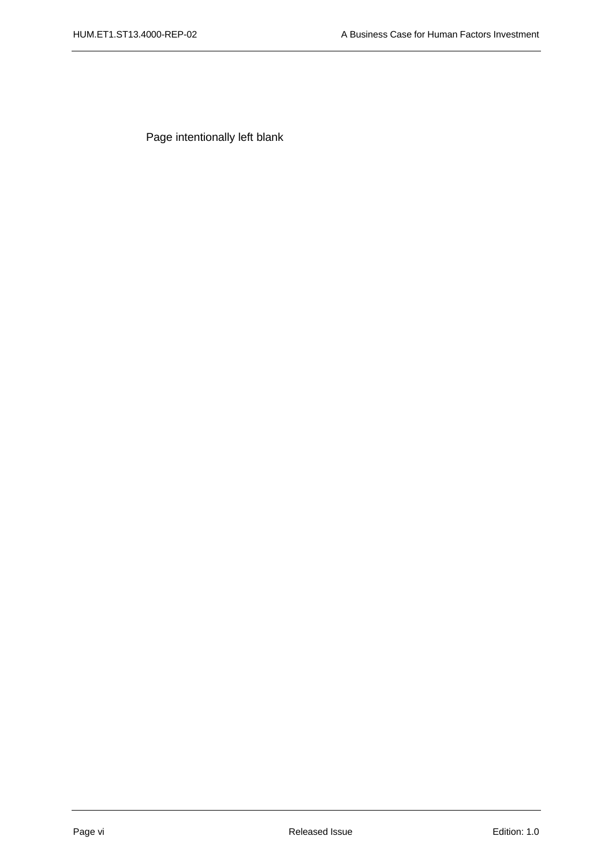Page intentionally left blank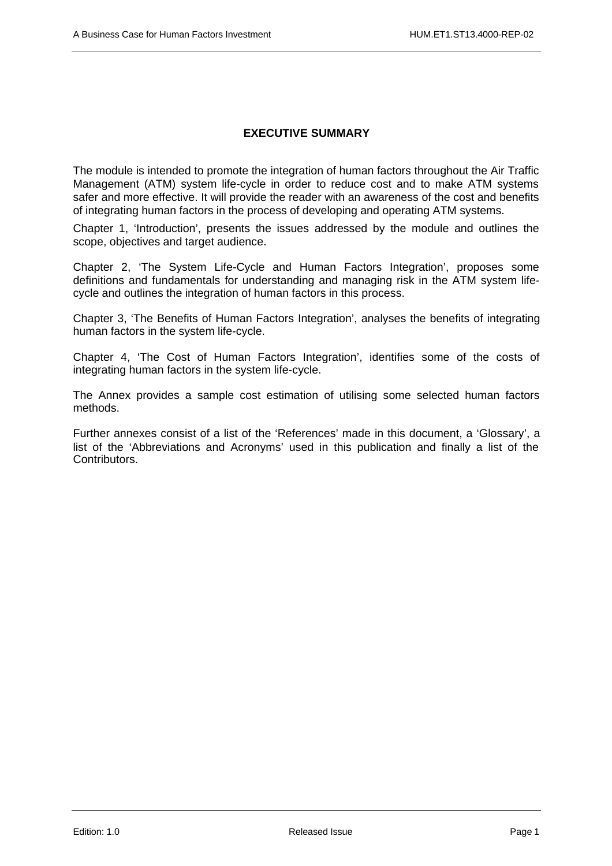#### **EXECUTIVE SUMMARY**

The module is intended to promote the integration of human factors throughout the Air Traffic Management (ATM) system life-cycle in order to reduce cost and to make ATM systems safer and more effective. It will provide the reader with an awareness of the cost and benefits of integrating human factors in the process of developing and operating ATM systems.

Chapter 1, 'Introduction', presents the issues addressed by the module and outlines the scope, objectives and target audience.

Chapter 2, 'The System Life-Cycle and Human Factors Integration', proposes some definitions and fundamentals for understanding and managing risk in the ATM system lifecycle and outlines the integration of human factors in this process.

Chapter 3, 'The Benefits of Human Factors Integration', analyses the benefits of integrating human factors in the system life-cycle.

Chapter 4, 'The Cost of Human Factors Integration', identifies some of the costs of integrating human factors in the system life-cycle.

The Annex provides a sample cost estimation of utilising some selected human factors methods.

Further annexes consist of a list of the 'References' made in this document, a 'Glossary', a list of the 'Abbreviations and Acronyms' used in this publication and finally a list of the Contributors.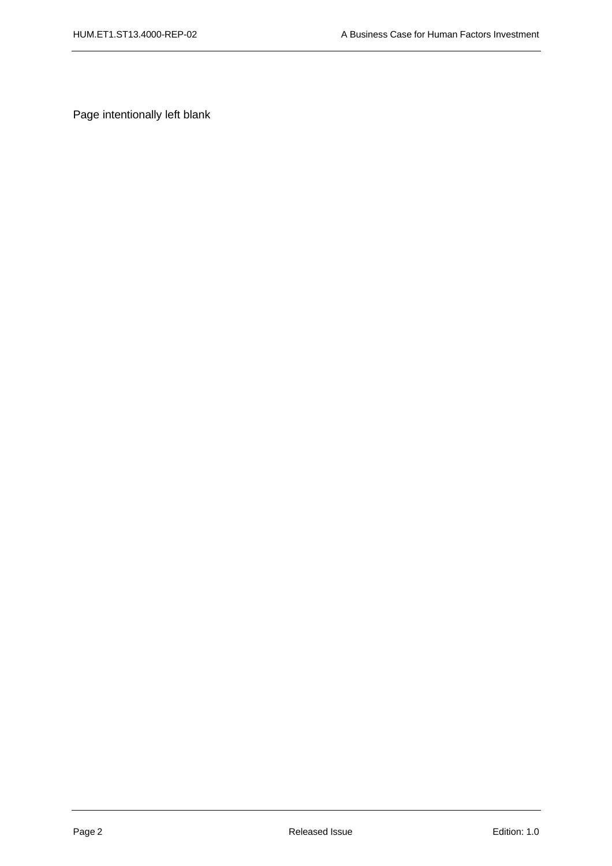Page intentionally left blank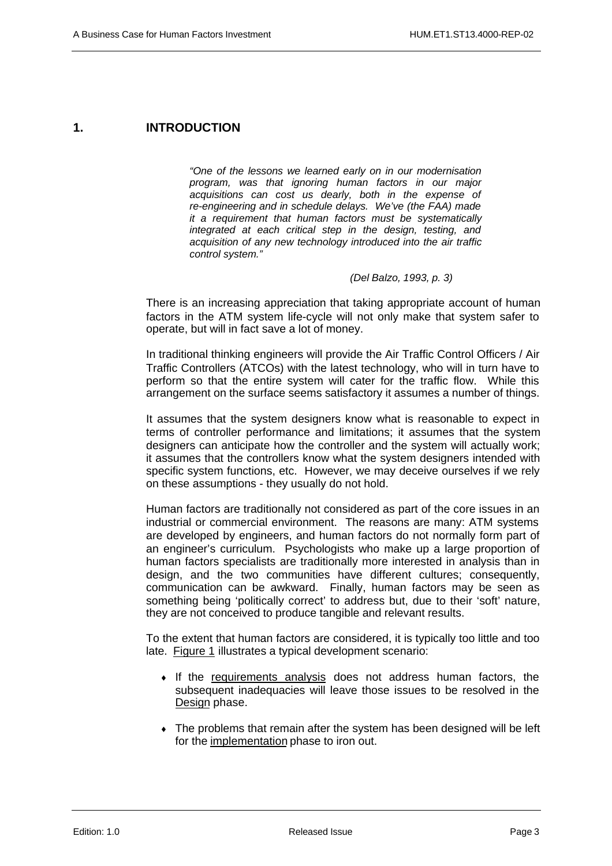#### **1. INTRODUCTION**

*"One of the lessons we learned early on in our modernisation program, was that ignoring human factors in our major acquisitions can cost us dearly, both in the expense of re-engineering and in schedule delays. We've (the FAA) made it a requirement that human factors must be systematically integrated at each critical step in the design, testing, and acquisition of any new technology introduced into the air traffic control system."*

#### *(Del Balzo, 1993, p. 3)*

There is an increasing appreciation that taking appropriate account of human factors in the ATM system life-cycle will not only make that system safer to operate, but will in fact save a lot of money.

In traditional thinking engineers will provide the Air Traffic Control Officers / Air Traffic Controllers (ATCOs) with the latest technology, who will in turn have to perform so that the entire system will cater for the traffic flow. While this arrangement on the surface seems satisfactory it assumes a number of things.

It assumes that the system designers know what is reasonable to expect in terms of controller performance and limitations; it assumes that the system designers can anticipate how the controller and the system will actually work; it assumes that the controllers know what the system designers intended with specific system functions, etc. However, we may deceive ourselves if we rely on these assumptions - they usually do not hold.

Human factors are traditionally not considered as part of the core issues in an industrial or commercial environment. The reasons are many: ATM systems are developed by engineers, and human factors do not normally form part of an engineer's curriculum. Psychologists who make up a large proportion of human factors specialists are traditionally more interested in analysis than in design, and the two communities have different cultures; consequently, communication can be awkward. Finally, human factors may be seen as something being 'politically correct' to address but, due to their 'soft' nature, they are not conceived to produce tangible and relevant results.

To the extent that human factors are considered, it is typically too little and too late. Figure 1 illustrates a typical development scenario:

- If the requirements analysis does not address human factors, the subsequent inadequacies will leave those issues to be resolved in the Design phase.
- The problems that remain after the system has been designed will be left for the implementation phase to iron out.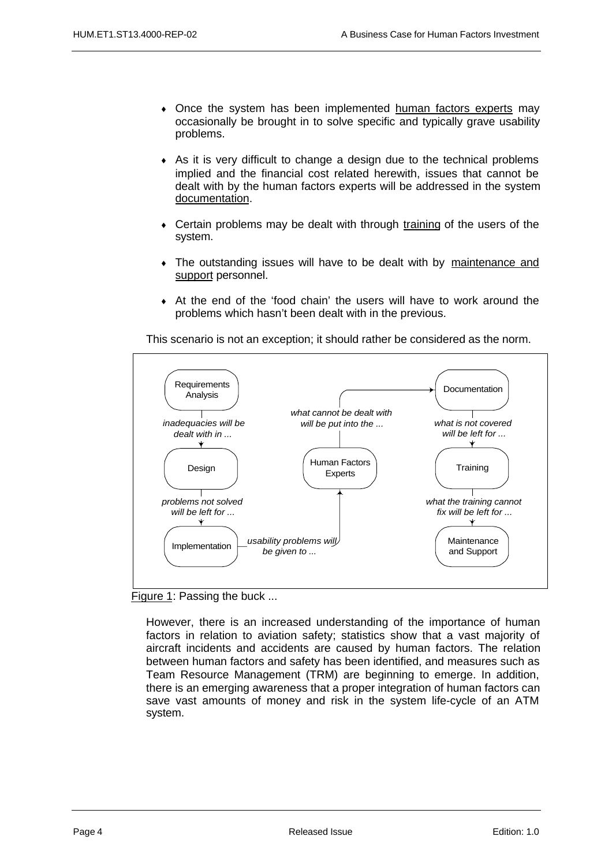- Once the system has been implemented human factors experts may occasionally be brought in to solve specific and typically grave usability problems.
- As it is very difficult to change a design due to the technical problems implied and the financial cost related herewith, issues that cannot be dealt with by the human factors experts will be addressed in the system documentation.
- Certain problems may be dealt with through training of the users of the system.
- The outstanding issues will have to be dealt with by maintenance and support personnel.
- $\bullet$  At the end of the 'food chain' the users will have to work around the problems which hasn't been dealt with in the previous.

This scenario is not an exception; it should rather be considered as the norm.





However, there is an increased understanding of the importance of human factors in relation to aviation safety; statistics show that a vast majority of aircraft incidents and accidents are caused by human factors. The relation between human factors and safety has been identified, and measures such as Team Resource Management (TRM) are beginning to emerge. In addition, there is an emerging awareness that a proper integration of human factors can save vast amounts of money and risk in the system life-cycle of an ATM system.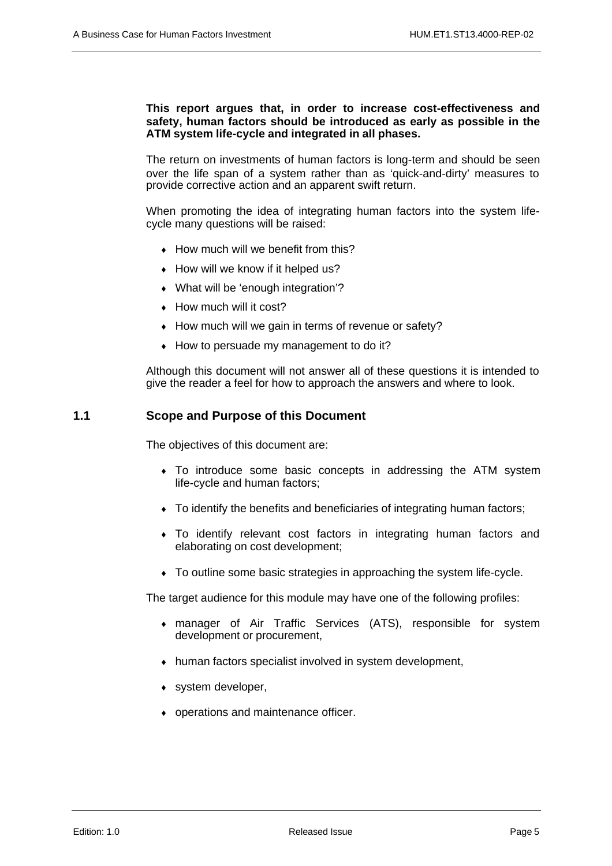#### **This report argues that, in order to increase cost-effectiveness and safety, human factors should be introduced as early as possible in the ATM system life-cycle and integrated in all phases.**

The return on investments of human factors is long-term and should be seen over the life span of a system rather than as 'quick-and-dirty' measures to provide corrective action and an apparent swift return.

When promoting the idea of integrating human factors into the system lifecycle many questions will be raised:

- How much will we benefit from this?
- $\cdot$  How will we know if it helped us?
- What will be 'enough integration'?
- $\cdot$  How much will it cost?
- How much will we gain in terms of revenue or safety?
- How to persuade my management to do it?

Although this document will not answer all of these questions it is intended to give the reader a feel for how to approach the answers and where to look.

#### **1.1 Scope and Purpose of this Document**

The objectives of this document are:

- To introduce some basic concepts in addressing the ATM system life-cycle and human factors;
- To identify the benefits and beneficiaries of integrating human factors;
- To identify relevant cost factors in integrating human factors and elaborating on cost development;
- ♦ To outline some basic strategies in approaching the system life-cycle.

The target audience for this module may have one of the following profiles:

- manager of Air Traffic Services (ATS), responsible for system development or procurement,
- human factors specialist involved in system development,
- system developer,
- operations and maintenance officer.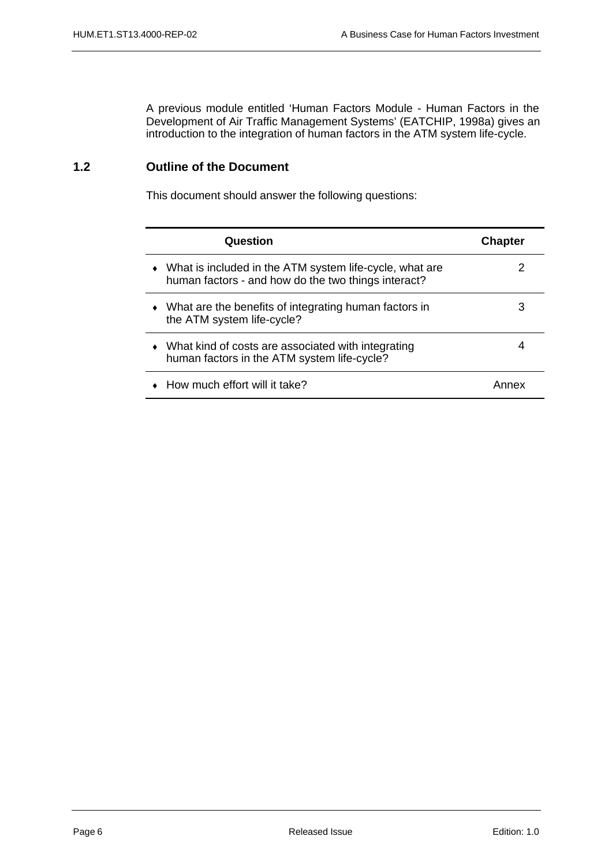A previous module entitled 'Human Factors Module - Human Factors in the Development of Air Traffic Management Systems' (EATCHIP, 1998a) gives an introduction to the integration of human factors in the ATM system life-cycle.

# **1.2 Outline of the Document**

This document should answer the following questions:

| Question                                                                                                         | <b>Chapter</b> |
|------------------------------------------------------------------------------------------------------------------|----------------|
| • What is included in the ATM system life-cycle, what are<br>human factors - and how do the two things interact? |                |
| • What are the benefits of integrating human factors in<br>the ATM system life-cycle?                            | 3              |
| What kind of costs are associated with integrating<br>human factors in the ATM system life-cycle?                |                |
| How much effort will it take?                                                                                    | Annex          |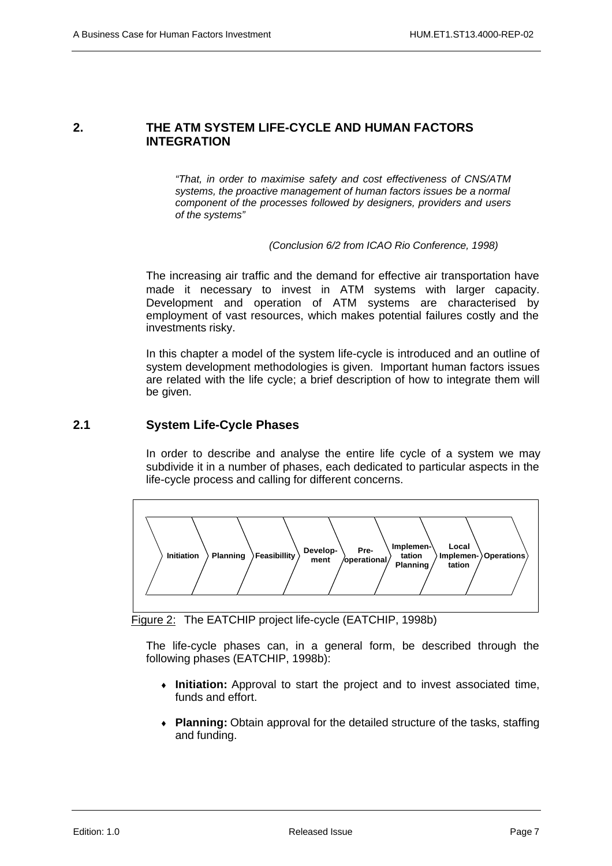#### **2. THE ATM SYSTEM LIFE-CYCLE AND HUMAN FACTORS INTEGRATION**

*"That, in order to maximise safety and cost effectiveness of CNS/ATM systems, the proactive management of human factors issues be a normal component of the processes followed by designers, providers and users of the systems"*

*(Conclusion 6/2 from ICAO Rio Conference, 1998)*

The increasing air traffic and the demand for effective air transportation have made it necessary to invest in ATM systems with larger capacity. Development and operation of ATM systems are characterised by employment of vast resources, which makes potential failures costly and the investments risky.

In this chapter a model of the system life-cycle is introduced and an outline of system development methodologies is given. Important human factors issues are related with the life cycle; a brief description of how to integrate them will be given.

#### **2.1 System Life-Cycle Phases**

In order to describe and analyse the entire life cycle of a system we may subdivide it in a number of phases, each dedicated to particular aspects in the life-cycle process and calling for different concerns.



Figure 2: The EATCHIP project life-cycle (EATCHIP, 1998b)

The life-cycle phases can, in a general form, be described through the following phases (EATCHIP, 1998b):

- **Initiation:** Approval to start the project and to invest associated time, funds and effort.
- **Planning:** Obtain approval for the detailed structure of the tasks, staffing and funding.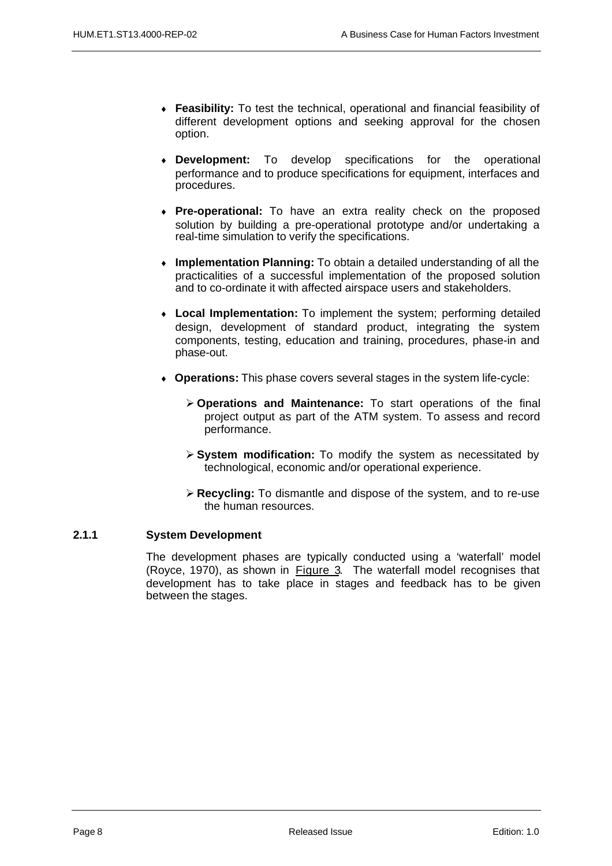- ♦ **Feasibility:** To test the technical, operational and financial feasibility of different development options and seeking approval for the chosen option.
- ♦ **Development:** To develop specifications for the operational performance and to produce specifications for equipment, interfaces and procedures.
- Pre-operational: To have an extra reality check on the proposed solution by building a pre-operational prototype and/or undertaking a real-time simulation to verify the specifications.
- **Implementation Planning:** To obtain a detailed understanding of all the practicalities of a successful implementation of the proposed solution and to co-ordinate it with affected airspace users and stakeholders.
- ♦ **Local Implementation:** To implement the system; performing detailed design, development of standard product, integrating the system components, testing, education and training, procedures, phase-in and phase-out.
- ♦ **Operations:** This phase covers several stages in the system life-cycle:
	- ÿ **Operations and Maintenance:** To start operations of the final project output as part of the ATM system. To assess and record performance.
	- ÿ **System modification:** To modify the system as necessitated by technological, economic and/or operational experience.
	- ÿ **Recycling:** To dismantle and dispose of the system, and to re-use the human resources.

#### **2.1.1 System Development**

The development phases are typically conducted using a 'waterfall' model (Royce, 1970), as shown in Figure 3. The waterfall model recognises that development has to take place in stages and feedback has to be given between the stages.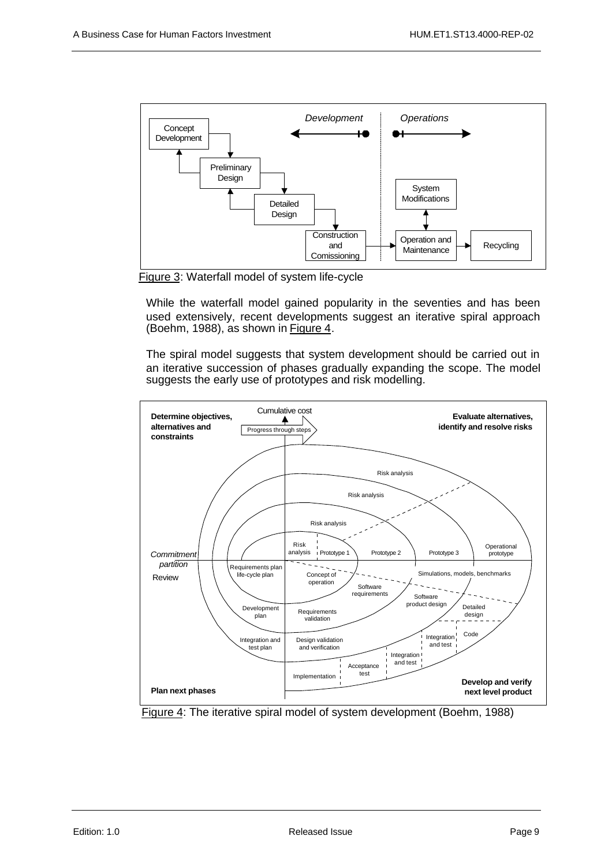

Figure 3: Waterfall model of system life-cycle

While the waterfall model gained popularity in the seventies and has been used extensively, recent developments suggest an iterative spiral approach (Boehm, 1988), as shown in Figure 4.

The spiral model suggests that system development should be carried out in an iterative succession of phases gradually expanding the scope. The model suggests the early use of prototypes and risk modelling.



Figure 4: The iterative spiral model of system development (Boehm, 1988)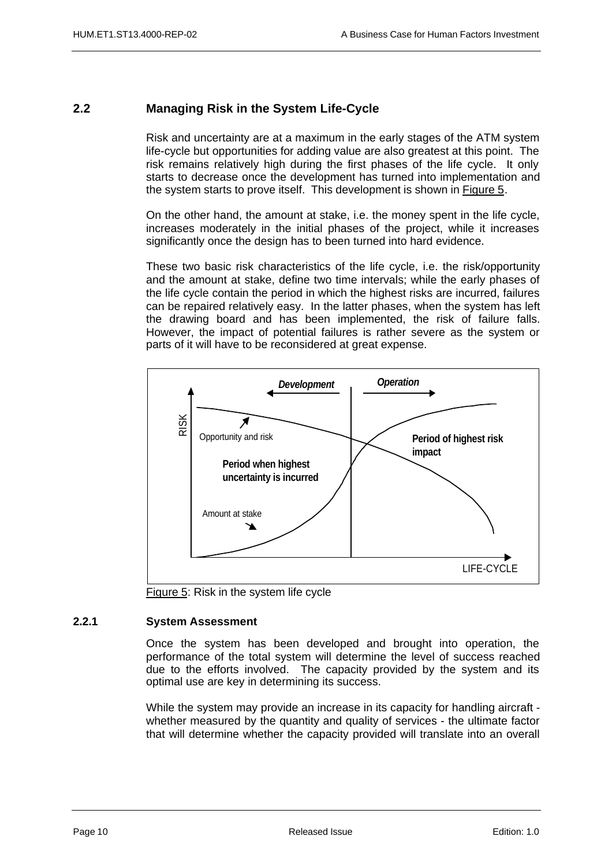#### **2.2 Managing Risk in the System Life-Cycle**

Risk and uncertainty are at a maximum in the early stages of the ATM system life-cycle but opportunities for adding value are also greatest at this point. The risk remains relatively high during the first phases of the life cycle. It only starts to decrease once the development has turned into implementation and the system starts to prove itself. This development is shown in Figure 5.

On the other hand, the amount at stake, i.e. the money spent in the life cycle, increases moderately in the initial phases of the project, while it increases significantly once the design has to been turned into hard evidence.

These two basic risk characteristics of the life cycle, i.e. the risk/opportunity and the amount at stake, define two time intervals; while the early phases of the life cycle contain the period in which the highest risks are incurred, failures can be repaired relatively easy. In the latter phases, when the system has left the drawing board and has been implemented, the risk of failure falls. However, the impact of potential failures is rather severe as the system or parts of it will have to be reconsidered at great expense.



Figure 5: Risk in the system life cycle

#### **2.2.1 System Assessment**

Once the system has been developed and brought into operation, the performance of the total system will determine the level of success reached due to the efforts involved. The capacity provided by the system and its optimal use are key in determining its success.

While the system may provide an increase in its capacity for handling aircraft whether measured by the quantity and quality of services - the ultimate factor that will determine whether the capacity provided will translate into an overall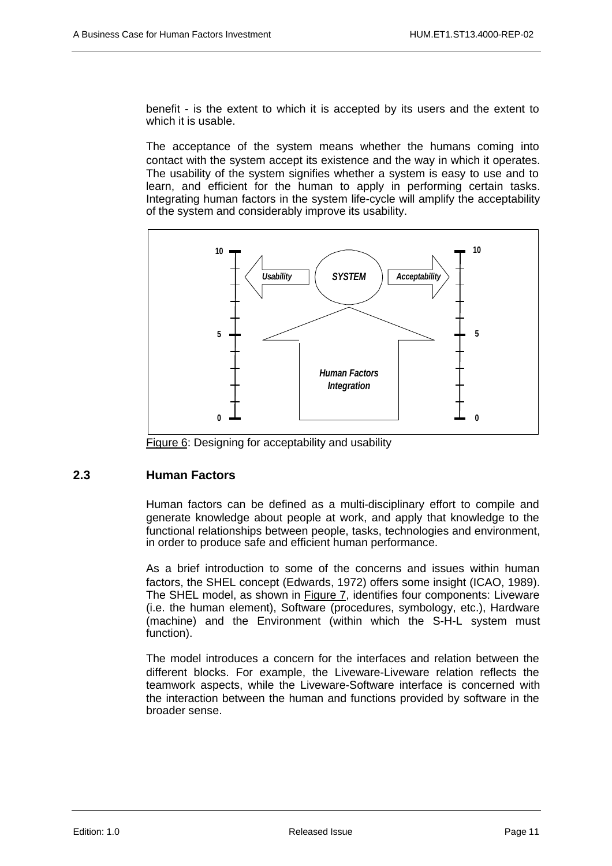benefit - is the extent to which it is accepted by its users and the extent to which it is usable.

The acceptance of the system means whether the humans coming into contact with the system accept its existence and the way in which it operates. The usability of the system signifies whether a system is easy to use and to learn, and efficient for the human to apply in performing certain tasks. Integrating human factors in the system life-cycle will amplify the acceptability of the system and considerably improve its usability.



Figure 6: Designing for acceptability and usability

# **2.3 Human Factors**

Human factors can be defined as a multi-disciplinary effort to compile and generate knowledge about people at work, and apply that knowledge to the functional relationships between people, tasks, technologies and environment, in order to produce safe and efficient human performance.

As a brief introduction to some of the concerns and issues within human factors, the SHEL concept (Edwards, 1972) offers some insight (ICAO, 1989). The SHEL model, as shown in Figure 7, identifies four components: Liveware (i.e. the human element), Software (procedures, symbology, etc.), Hardware (machine) and the Environment (within which the S-H-L system must function).

The model introduces a concern for the interfaces and relation between the different blocks. For example, the Liveware-Liveware relation reflects the teamwork aspects, while the Liveware-Software interface is concerned with the interaction between the human and functions provided by software in the broader sense.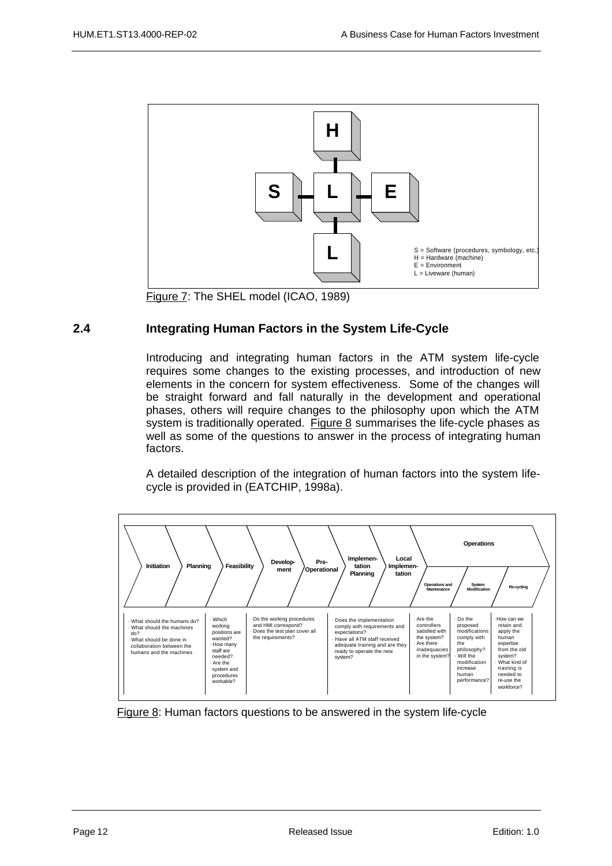

Figure 7: The SHEL model (ICAO, 1989)

# **2.4 Integrating Human Factors in the System Life-Cycle**

Introducing and integrating human factors in the ATM system life-cycle requires some changes to the existing processes, and introduction of new elements in the concern for system effectiveness. Some of the changes will be straight forward and fall naturally in the development and operational phases, others will require changes to the philosophy upon which the ATM system is traditionally operated. Figure 8 summarises the life-cycle phases as well as some of the questions to answer in the process of integrating human factors.

A detailed description of the integration of human factors into the system lifecycle is provided in (EATCHIP, 1998a).



Figure 8: Human factors questions to be answered in the system life-cycle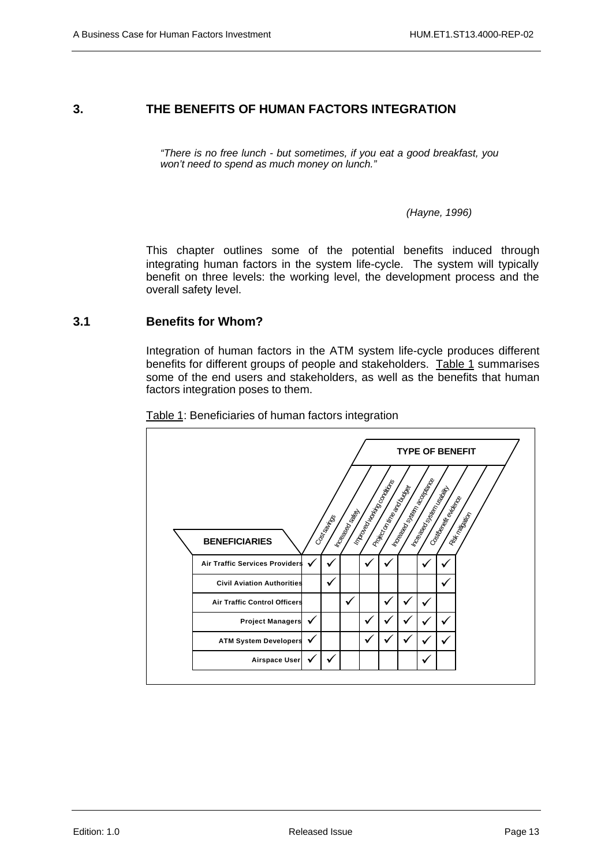## **3. THE BENEFITS OF HUMAN FACTORS INTEGRATION**

*"There is no free lunch - but sometimes, if you eat a good breakfast, you won't need to spend as much money on lunch."*

*(Hayne, 1996)*

This chapter outlines some of the potential benefits induced through integrating human factors in the system life-cycle. The system will typically benefit on three levels: the working level, the development process and the overall safety level.

#### **3.1 Benefits for Whom?**

Integration of human factors in the ATM system life-cycle produces different benefits for different groups of people and stakeholders. Table 1 summarises some of the end users and stakeholders, as well as the benefits that human factors integration poses to them.

Cost savings Increased Sept. **Improved Waterforced Working Conditions** Liberal Manufacture I Roadway system acceptance Increased system used at **TYPE OF BENEFIT Air Traffic Services Provider Civil Aviation Authoritie Air Traffic Control Officer Project Managers ATM System Developers BENEFICIARIES**  $\checkmark$  $\checkmark$  $\checkmark$  $\checkmark$  $\checkmark$  $\checkmark$   $\checkmark$  $\checkmark$  $\checkmark$  $\checkmark$   $\checkmark$   $\checkmark$   $\checkmark$   $\checkmark$   $\checkmark$  $\checkmark$ ¸  $\checkmark$  $\checkmark$ **Airspace Use**  $\checkmark$ Costellation events Risk mittgation  $\checkmark$  $\checkmark$  $\checkmark$  $\checkmark$  $\checkmark$  $\checkmark$  $\checkmark$  $\checkmark$  $\checkmark$ 

Table 1: Beneficiaries of human factors integration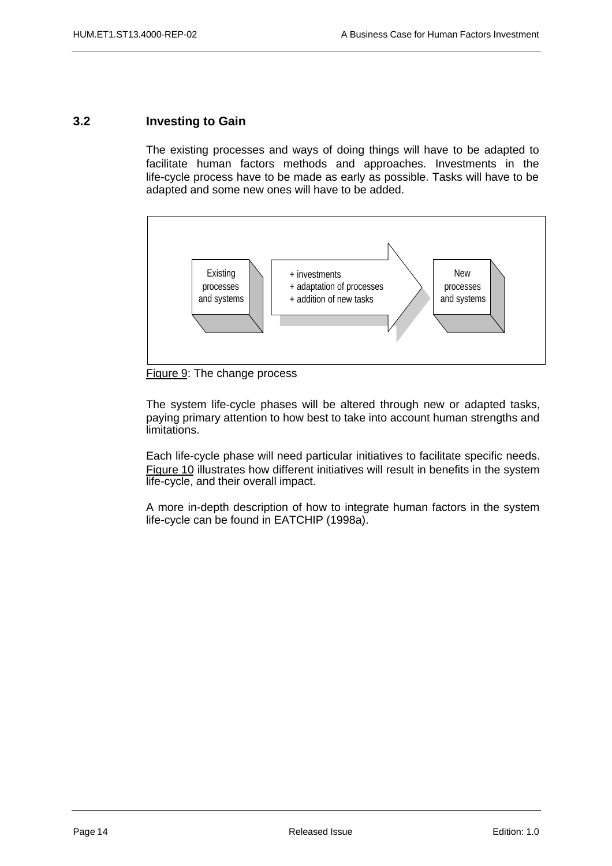#### **3.2 Investing to Gain**

The existing processes and ways of doing things will have to be adapted to facilitate human factors methods and approaches. Investments in the life-cycle process have to be made as early as possible. Tasks will have to be adapted and some new ones will have to be added.



Figure 9: The change process

The system life-cycle phases will be altered through new or adapted tasks, paying primary attention to how best to take into account human strengths and limitations.

Each life-cycle phase will need particular initiatives to facilitate specific needs. Figure 10 illustrates how different initiatives will result in benefits in the system life-cycle, and their overall impact.

A more in-depth description of how to integrate human factors in the system life-cycle can be found in EATCHIP (1998a).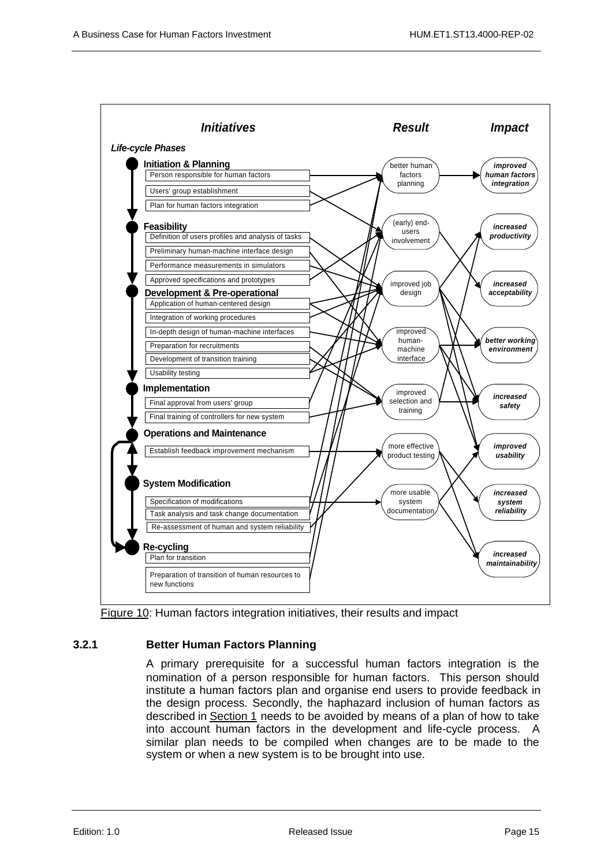

Figure 10: Human factors integration initiatives, their results and impact

#### **3.2.1 Better Human Factors Planning**

A primary prerequisite for a successful human factors integration is the nomination of a person responsible for human factors. This person should institute a human factors plan and organise end users to provide feedback in the design process. Secondly, the haphazard inclusion of human factors as described in Section 1 needs to be avoided by means of a plan of how to take into account human factors in the development and life-cycle process. A similar plan needs to be compiled when changes are to be made to the system or when a new system is to be brought into use.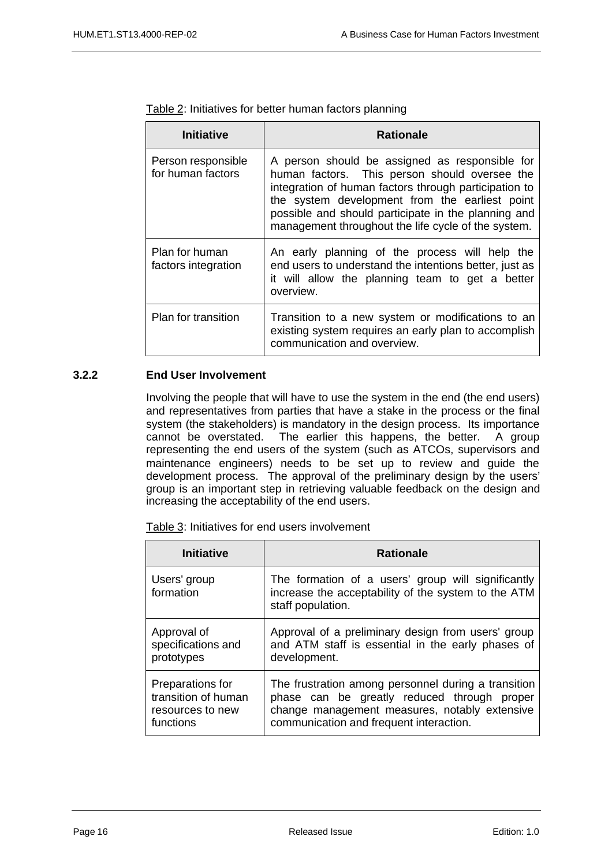| <b>Initiative</b>                       | <b>Rationale</b>                                                                                                                                                                                                                                                                                                         |  |  |
|-----------------------------------------|--------------------------------------------------------------------------------------------------------------------------------------------------------------------------------------------------------------------------------------------------------------------------------------------------------------------------|--|--|
| Person responsible<br>for human factors | A person should be assigned as responsible for<br>human factors. This person should oversee the<br>integration of human factors through participation to<br>the system development from the earliest point<br>possible and should participate in the planning and<br>management throughout the life cycle of the system. |  |  |

|  | Table 2: Initiatives for better human factors planning |  |  |
|--|--------------------------------------------------------|--|--|
|  |                                                        |  |  |

| Plan for human<br>factors integration | An early planning of the process will help the<br>end users to understand the intentions better, just as<br>it will allow the planning team to get a better<br>overview. |
|---------------------------------------|--------------------------------------------------------------------------------------------------------------------------------------------------------------------------|
| Plan for transition                   | Transition to a new system or modifications to an<br>existing system requires an early plan to accomplish<br>communication and overview.                                 |

#### **3.2.2 End User Involvement**

Involving the people that will have to use the system in the end (the end users) and representatives from parties that have a stake in the process or the final system (the stakeholders) is mandatory in the design process. Its importance cannot be overstated. The earlier this happens, the better. A group representing the end users of the system (such as ATCOs, supervisors and maintenance engineers) needs to be set up to review and guide the development process. The approval of the preliminary design by the users' group is an important step in retrieving valuable feedback on the design and increasing the acceptability of the end users.

|  |  |  |  |  | Table 3: Initiatives for end users involvement |
|--|--|--|--|--|------------------------------------------------|
|--|--|--|--|--|------------------------------------------------|

| <b>Initiative</b>         | <b>Rationale</b>                                                                                                               |
|---------------------------|--------------------------------------------------------------------------------------------------------------------------------|
| Users' group<br>formation | The formation of a users' group will significantly<br>increase the acceptability of the system to the ATM<br>staff population. |
| Approval of               | Approval of a preliminary design from users' group                                                                             |
| specifications and        | and ATM staff is essential in the early phases of                                                                              |
| prototypes                | development.                                                                                                                   |
| Preparations for          | The frustration among personnel during a transition                                                                            |
| transition of human       | phase can be greatly reduced through proper                                                                                    |
| resources to new          | change management measures, notably extensive                                                                                  |
| functions                 | communication and frequent interaction.                                                                                        |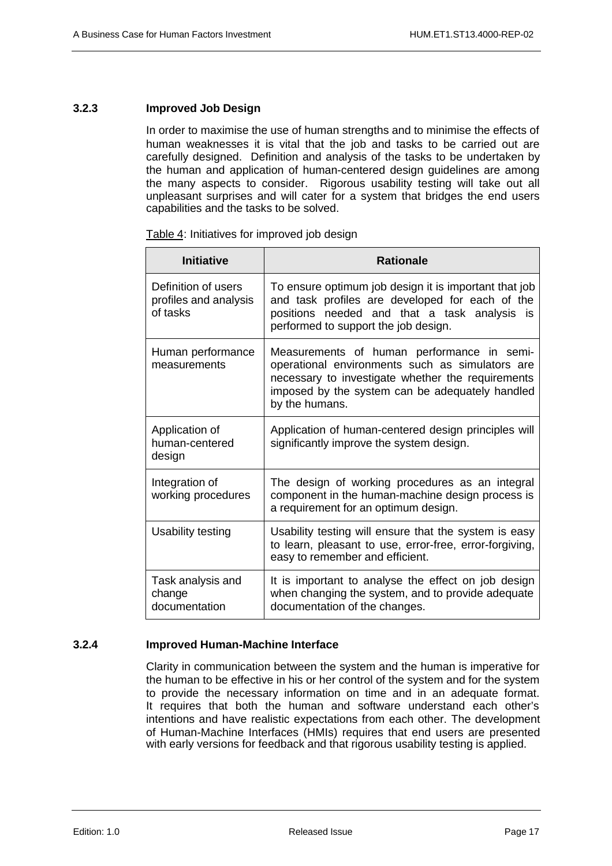#### **3.2.3 Improved Job Design**

In order to maximise the use of human strengths and to minimise the effects of human weaknesses it is vital that the job and tasks to be carried out are carefully designed. Definition and analysis of the tasks to be undertaken by the human and application of human-centered design guidelines are among the many aspects to consider. Rigorous usability testing will take out all unpleasant surprises and will cater for a system that bridges the end users capabilities and the tasks to be solved.

| <b>Initiative</b>                                        | <b>Rationale</b>                                                                                                                                                                                                        |
|----------------------------------------------------------|-------------------------------------------------------------------------------------------------------------------------------------------------------------------------------------------------------------------------|
| Definition of users<br>profiles and analysis<br>of tasks | To ensure optimum job design it is important that job<br>and task profiles are developed for each of the<br>positions needed and that a task analysis<br>is<br>performed to support the job design.                     |
| Human performance<br>measurements                        | Measurements of human performance in semi-<br>operational environments such as simulators are<br>necessary to investigate whether the requirements<br>imposed by the system can be adequately handled<br>by the humans. |
| Application of<br>human-centered<br>design               | Application of human-centered design principles will<br>significantly improve the system design.                                                                                                                        |
| Integration of<br>working procedures                     | The design of working procedures as an integral<br>component in the human-machine design process is<br>a requirement for an optimum design.                                                                             |
| Usability testing                                        | Usability testing will ensure that the system is easy<br>to learn, pleasant to use, error-free, error-forgiving,<br>easy to remember and efficient.                                                                     |
| Task analysis and<br>change<br>documentation             | It is important to analyse the effect on job design<br>when changing the system, and to provide adequate<br>documentation of the changes.                                                                               |

Table 4: Initiatives for improved job design

#### **3.2.4 Improved Human-Machine Interface**

Clarity in communication between the system and the human is imperative for the human to be effective in his or her control of the system and for the system to provide the necessary information on time and in an adequate format. It requires that both the human and software understand each other's intentions and have realistic expectations from each other. The development of Human-Machine Interfaces (HMIs) requires that end users are presented with early versions for feedback and that rigorous usability testing is applied.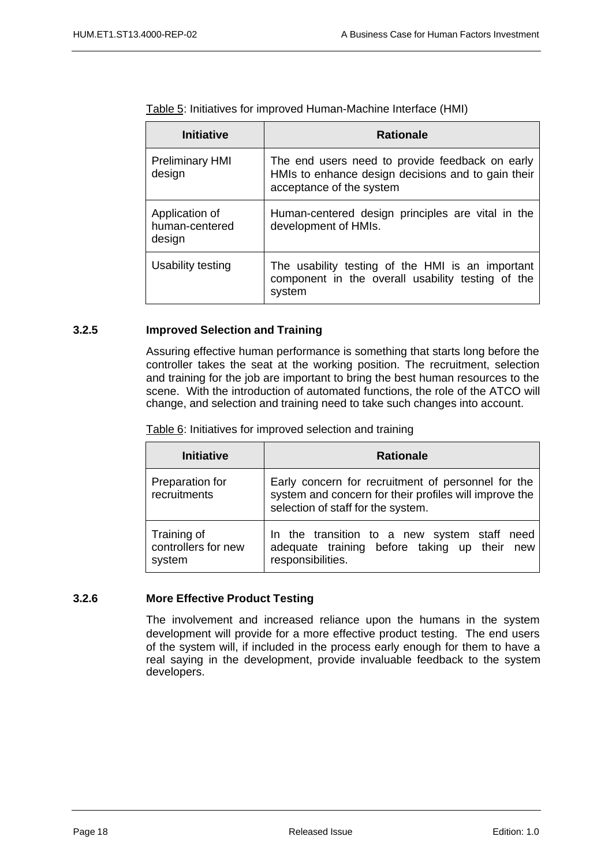Table 5: Initiatives for improved Human-Machine Interface (HMI)

| <b>Initiative</b>                          | <b>Rationale</b>                                                                                                                  |
|--------------------------------------------|-----------------------------------------------------------------------------------------------------------------------------------|
| <b>Preliminary HMI</b><br>design           | The end users need to provide feedback on early<br>HMIs to enhance design decisions and to gain their<br>acceptance of the system |
| Application of<br>human-centered<br>design | Human-centered design principles are vital in the<br>development of HMIs.                                                         |
| Usability testing                          | The usability testing of the HMI is an important<br>component in the overall usability testing of the<br>system                   |

#### **3.2.5 Improved Selection and Training**

Assuring effective human performance is something that starts long before the controller takes the seat at the working position. The recruitment, selection and training for the job are important to bring the best human resources to the scene. With the introduction of automated functions, the role of the ATCO will change, and selection and training need to take such changes into account.

Table 6: Initiatives for improved selection and training

| <b>Initiative</b>                            | <b>Rationale</b>                                                                                                                                   |
|----------------------------------------------|----------------------------------------------------------------------------------------------------------------------------------------------------|
| Preparation for<br>recruitments              | Early concern for recruitment of personnel for the<br>system and concern for their profiles will improve the<br>selection of staff for the system. |
| Training of<br>controllers for new<br>system | In the transition to a new system staff need<br>adequate training before taking up their new<br>responsibilities.                                  |

#### **3.2.6 More Effective Product Testing**

The involvement and increased reliance upon the humans in the system development will provide for a more effective product testing. The end users of the system will, if included in the process early enough for them to have a real saying in the development, provide invaluable feedback to the system developers.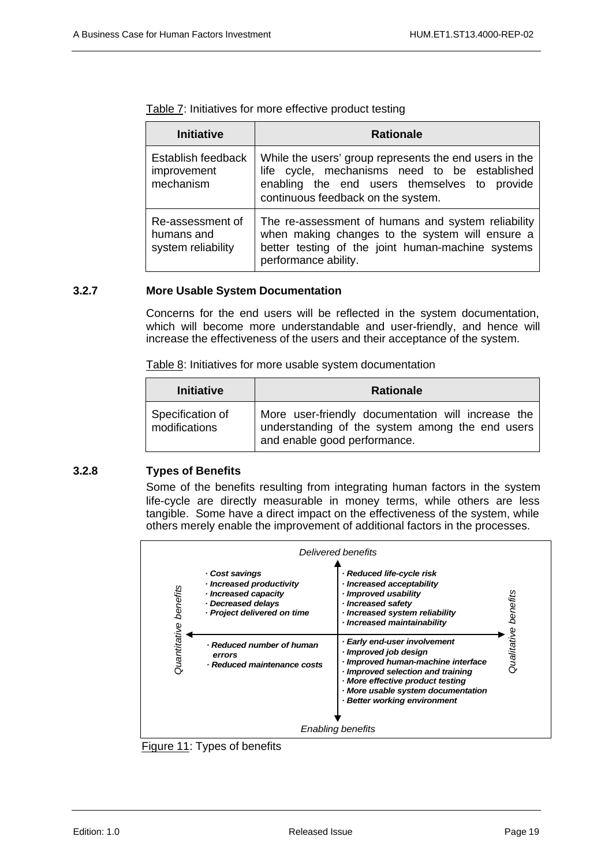#### Table 7: Initiatives for more effective product testing

| <b>Initiative</b>                                    | <b>Rationale</b>                                                                                                                                                                              |
|------------------------------------------------------|-----------------------------------------------------------------------------------------------------------------------------------------------------------------------------------------------|
| Establish feedback<br>improvement<br>mechanism       | While the users' group represents the end users in the<br>life cycle, mechanisms need to be established<br>enabling the end users themselves to provide<br>continuous feedback on the system. |
| Re-assessment of<br>humans and<br>system reliability | The re-assessment of humans and system reliability<br>when making changes to the system will ensure a<br>better testing of the joint human-machine systems<br>performance ability.            |

#### **3.2.7 More Usable System Documentation**

Concerns for the end users will be reflected in the system documentation, which will become more understandable and user-friendly, and hence will increase the effectiveness of the users and their acceptance of the system.

Table 8: Initiatives for more usable system documentation

| <b>Initiative</b>                 | <b>Rationale</b>                                                                                                                      |
|-----------------------------------|---------------------------------------------------------------------------------------------------------------------------------------|
| Specification of<br>modifications | More user-friendly documentation will increase the<br>understanding of the system among the end users<br>and enable good performance. |

#### **3.2.8 Types of Benefits**

Some of the benefits resulting from integrating human factors in the system life-cycle are directly measurable in money terms, while others are less tangible. Some have a direct impact on the effectiveness of the system, while others merely enable the improvement of additional factors in the processes.



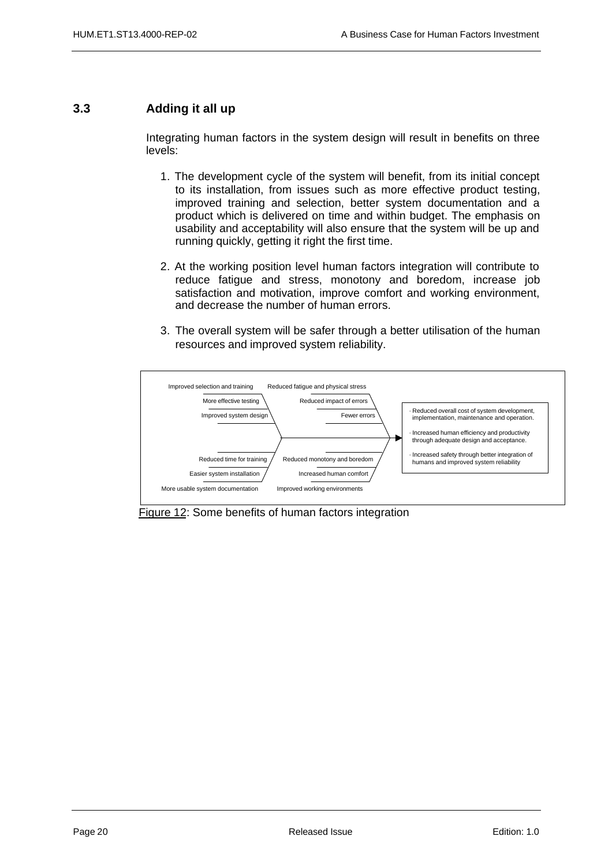#### **3.3 Adding it all up**

Integrating human factors in the system design will result in benefits on three levels:

- 1. The development cycle of the system will benefit, from its initial concept to its installation, from issues such as more effective product testing, improved training and selection, better system documentation and a product which is delivered on time and within budget. The emphasis on usability and acceptability will also ensure that the system will be up and running quickly, getting it right the first time.
- 2. At the working position level human factors integration will contribute to reduce fatigue and stress, monotony and boredom, increase job satisfaction and motivation, improve comfort and working environment, and decrease the number of human errors.
- 3. The overall system will be safer through a better utilisation of the human resources and improved system reliability.



Figure 12: Some benefits of human factors integration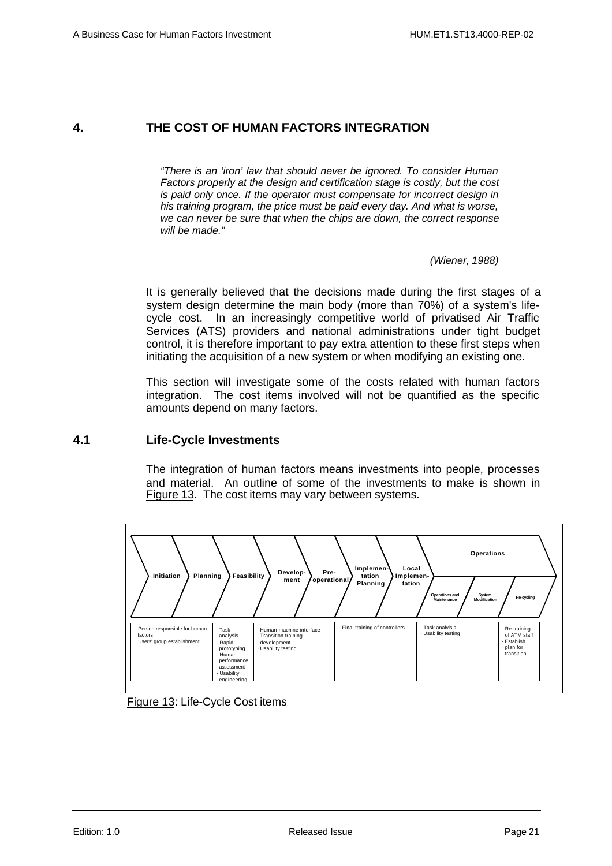#### **4. THE COST OF HUMAN FACTORS INTEGRATION**

*"There is an 'iron' law that should never be ignored. To consider Human Factors properly at the design and certification stage is costly, but the cost is paid only once. If the operator must compensate for incorrect design in his training program, the price must be paid every day. And what is worse, we can never be sure that when the chips are down, the correct response will be made."*

#### *(Wiener, 1988)*

It is generally believed that the decisions made during the first stages of a system design determine the main body (more than 70%) of a system's lifecycle cost. In an increasingly competitive world of privatised Air Traffic Services (ATS) providers and national administrations under tight budget control, it is therefore important to pay extra attention to these first steps when initiating the acquisition of a new system or when modifying an existing one.

This section will investigate some of the costs related with human factors integration. The cost items involved will not be quantified as the specific amounts depend on many factors.

#### **4.1 Life-Cycle Investments**

The integration of human factors means investments into people, processes and material. An outline of some of the investments to make is shown in Figure 13. The cost items may vary between systems.



Figure 13: Life-Cycle Cost items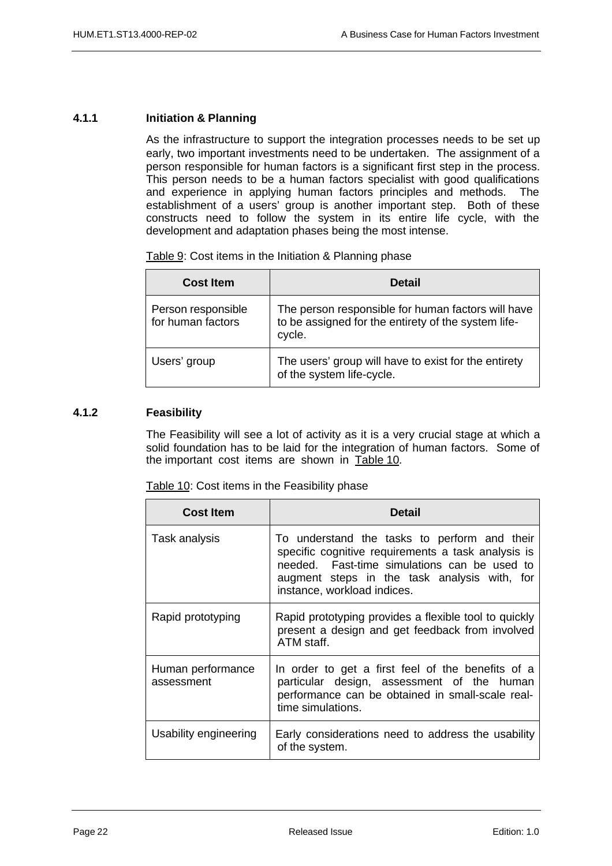#### **4.1.1 Initiation & Planning**

As the infrastructure to support the integration processes needs to be set up early, two important investments need to be undertaken. The assignment of a person responsible for human factors is a significant first step in the process. This person needs to be a human factors specialist with good qualifications and experience in applying human factors principles and methods. The establishment of a users' group is another important step. Both of these constructs need to follow the system in its entire life cycle, with the development and adaptation phases being the most intense.

Table 9: Cost items in the Initiation & Planning phase

| <b>Cost Item</b>                        | <b>Detail</b>                                                                                                       |
|-----------------------------------------|---------------------------------------------------------------------------------------------------------------------|
| Person responsible<br>for human factors | The person responsible for human factors will have<br>to be assigned for the entirety of the system life-<br>cycle. |
| Users' group                            | The users' group will have to exist for the entirety<br>of the system life-cycle.                                   |

#### **4.1.2 Feasibility**

The Feasibility will see a lot of activity as it is a very crucial stage at which a solid foundation has to be laid for the integration of human factors. Some of the important cost items are shown in Table 10*.*

Table 10: Cost items in the Feasibility phase

| <b>Cost Item</b>                | <b>Detail</b>                                                                                                                                                                                                                     |
|---------------------------------|-----------------------------------------------------------------------------------------------------------------------------------------------------------------------------------------------------------------------------------|
| Task analysis                   | To understand the tasks to perform and their<br>specific cognitive requirements a task analysis is<br>needed. Fast-time simulations can be used to<br>augment steps in the task analysis with, for<br>instance, workload indices. |
| Rapid prototyping               | Rapid prototyping provides a flexible tool to quickly<br>present a design and get feedback from involved<br>ATM staff.                                                                                                            |
| Human performance<br>assessment | In order to get a first feel of the benefits of a<br>particular design, assessment of the human<br>performance can be obtained in small-scale real-<br>time simulations.                                                          |
| Usability engineering           | Early considerations need to address the usability<br>of the system.                                                                                                                                                              |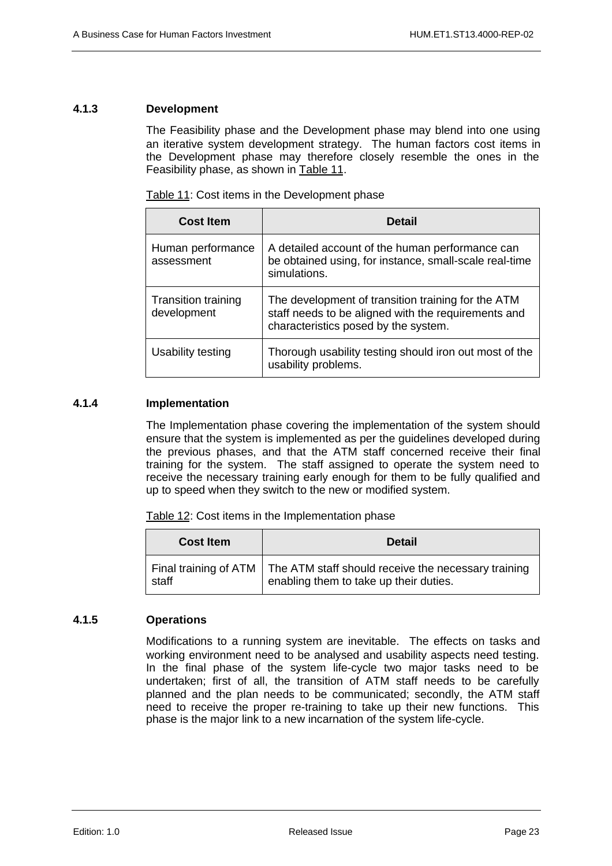#### **4.1.3 Development**

The Feasibility phase and the Development phase may blend into one using an iterative system development strategy. The human factors cost items in the Development phase may therefore closely resemble the ones in the Feasibility phase, as shown in Table 11.

Table 11: Cost items in the Development phase

| <b>Cost Item</b>                          | <b>Detail</b>                                                                                                                                     |
|-------------------------------------------|---------------------------------------------------------------------------------------------------------------------------------------------------|
| Human performance<br>assessment           | A detailed account of the human performance can<br>be obtained using, for instance, small-scale real-time<br>simulations.                         |
| <b>Transition training</b><br>development | The development of transition training for the ATM<br>staff needs to be aligned with the requirements and<br>characteristics posed by the system. |
| Usability testing                         | Thorough usability testing should iron out most of the<br>usability problems.                                                                     |

#### **4.1.4 Implementation**

The Implementation phase covering the implementation of the system should ensure that the system is implemented as per the guidelines developed during the previous phases, and that the ATM staff concerned receive their final training for the system. The staff assigned to operate the system need to receive the necessary training early enough for them to be fully qualified and up to speed when they switch to the new or modified system.

Table 12: Cost items in the Implementation phase

| <b>Cost Item</b> | <b>Detail</b>                                                                                                         |
|------------------|-----------------------------------------------------------------------------------------------------------------------|
| staff            | Final training of ATM   The ATM staff should receive the necessary training<br>enabling them to take up their duties. |

#### **4.1.5 Operations**

Modifications to a running system are inevitable. The effects on tasks and working environment need to be analysed and usability aspects need testing. In the final phase of the system life-cycle two major tasks need to be undertaken; first of all, the transition of ATM staff needs to be carefully planned and the plan needs to be communicated; secondly, the ATM staff need to receive the proper re-training to take up their new functions. This phase is the major link to a new incarnation of the system life-cycle.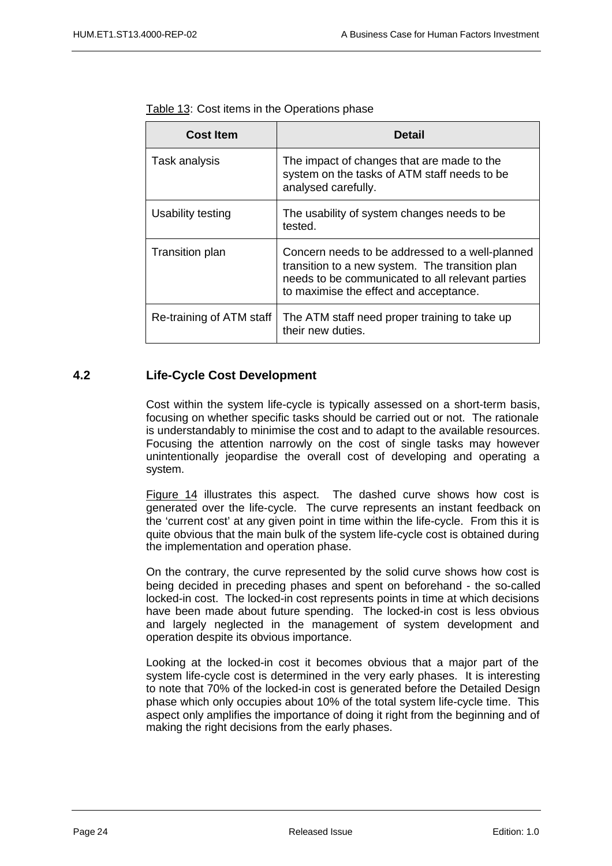| <b>Cost Item</b>         | <b>Detail</b>                                                                                                                                                                                    |
|--------------------------|--------------------------------------------------------------------------------------------------------------------------------------------------------------------------------------------------|
| Task analysis            | The impact of changes that are made to the<br>system on the tasks of ATM staff needs to be<br>analysed carefully.                                                                                |
| Usability testing        | The usability of system changes needs to be<br>tested.                                                                                                                                           |
| Transition plan          | Concern needs to be addressed to a well-planned<br>transition to a new system. The transition plan<br>needs to be communicated to all relevant parties<br>to maximise the effect and acceptance. |
| Re-training of ATM staff | The ATM staff need proper training to take up<br>their new duties.                                                                                                                               |

#### **4.2 Life-Cycle Cost Development**

Cost within the system life-cycle is typically assessed on a short-term basis, focusing on whether specific tasks should be carried out or not. The rationale is understandably to minimise the cost and to adapt to the available resources. Focusing the attention narrowly on the cost of single tasks may however unintentionally jeopardise the overall cost of developing and operating a system.

Figure 14 illustrates this aspect. The dashed curve shows how cost is generated over the life-cycle. The curve represents an instant feedback on the 'current cost' at any given point in time within the life-cycle. From this it is quite obvious that the main bulk of the system life-cycle cost is obtained during the implementation and operation phase.

On the contrary, the curve represented by the solid curve shows how cost is being decided in preceding phases and spent on beforehand - the so-called locked-in cost. The locked-in cost represents points in time at which decisions have been made about future spending. The locked-in cost is less obvious and largely neglected in the management of system development and operation despite its obvious importance.

Looking at the locked-in cost it becomes obvious that a major part of the system life-cycle cost is determined in the very early phases. It is interesting to note that 70% of the locked-in cost is generated before the Detailed Design phase which only occupies about 10% of the total system life-cycle time. This aspect only amplifies the importance of doing it right from the beginning and of making the right decisions from the early phases.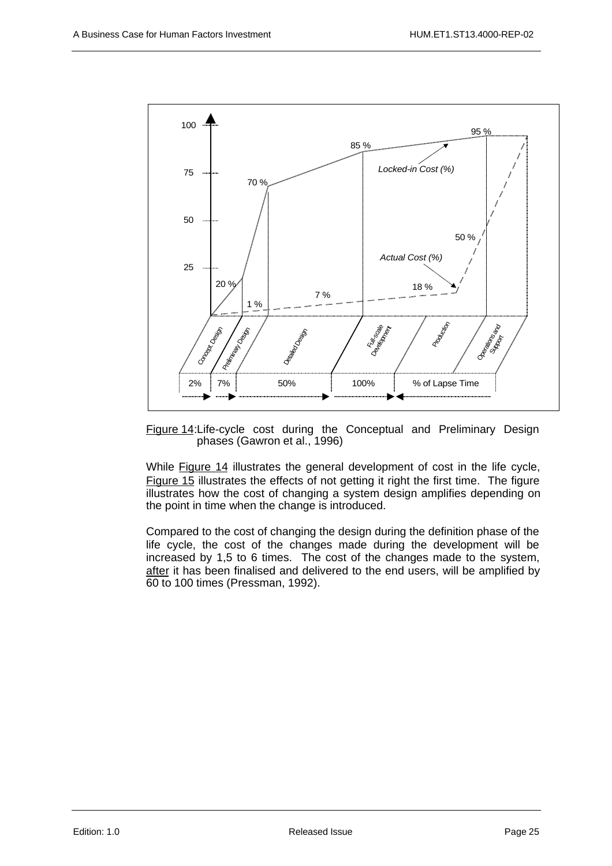

Figure 14:Life-cycle cost during the Conceptual and Preliminary Design phases (Gawron et al., 1996)

While Figure 14 illustrates the general development of cost in the life cycle, Figure 15 illustrates the effects of not getting it right the first time. The figure illustrates how the cost of changing a system design amplifies depending on the point in time when the change is introduced.

Compared to the cost of changing the design during the definition phase of the life cycle, the cost of the changes made during the development will be increased by 1,5 to 6 times. The cost of the changes made to the system, after it has been finalised and delivered to the end users, will be amplified by 60 to 100 times (Pressman, 1992).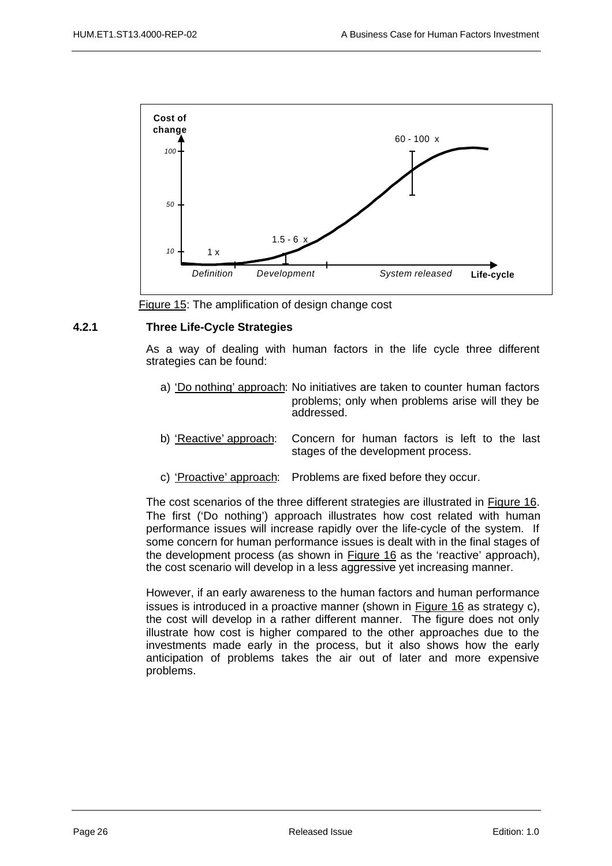

Figure 15: The amplification of design change cost

#### **4.2.1 Three Life-Cycle Strategies**

As a way of dealing with human factors in the life cycle three different strategies can be found:

- a) 'Do nothing' approach: No initiatives are taken to counter human factors problems; only when problems arise will they be addressed.
- b) 'Reactive' approach: Concern for human factors is left to the last stages of the development process.
- c) 'Proactive' approach: Problems are fixed before they occur.

The cost scenarios of the three different strategies are illustrated in Figure 16. The first ('Do nothing') approach illustrates how cost related with human performance issues will increase rapidly over the life-cycle of the system. If some concern for human performance issues is dealt with in the final stages of the development process (as shown in Figure 16 as the 'reactive' approach), the cost scenario will develop in a less aggressive yet increasing manner.

However, if an early awareness to the human factors and human performance issues is introduced in a proactive manner (shown in Figure 16 as strategy c), the cost will develop in a rather different manner. The figure does not only illustrate how cost is higher compared to the other approaches due to the investments made early in the process, but it also shows how the early anticipation of problems takes the air out of later and more expensive problems.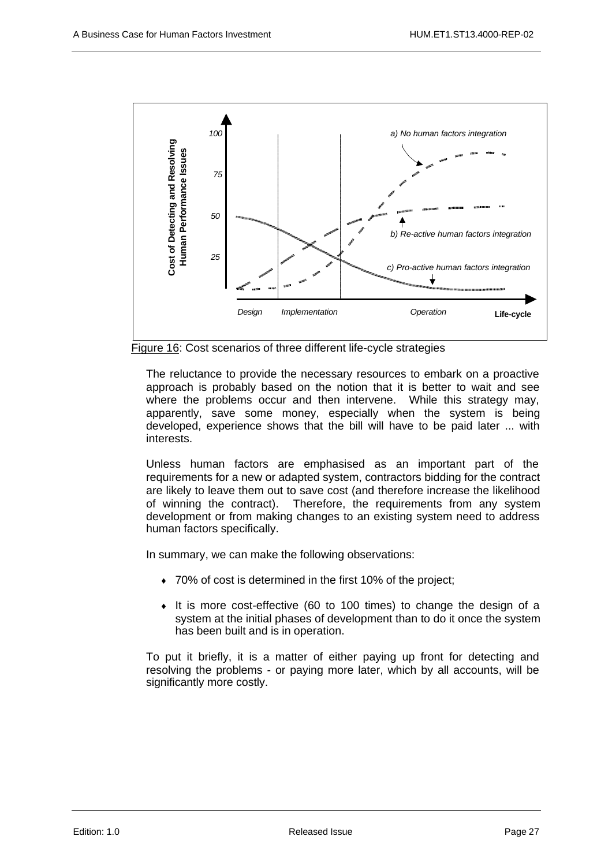

Figure 16: Cost scenarios of three different life-cycle strategies

The reluctance to provide the necessary resources to embark on a proactive approach is probably based on the notion that it is better to wait and see where the problems occur and then intervene. While this strategy may, apparently, save some money, especially when the system is being developed, experience shows that the bill will have to be paid later ... with interests.

Unless human factors are emphasised as an important part of the requirements for a new or adapted system, contractors bidding for the contract are likely to leave them out to save cost (and therefore increase the likelihood of winning the contract). Therefore, the requirements from any system development or from making changes to an existing system need to address human factors specifically.

In summary, we can make the following observations:

- $\cdot$  70% of cost is determined in the first 10% of the project:
- $\bullet$  It is more cost-effective (60 to 100 times) to change the design of a system at the initial phases of development than to do it once the system has been built and is in operation.

To put it briefly, it is a matter of either paying up front for detecting and resolving the problems - or paying more later, which by all accounts, will be significantly more costly.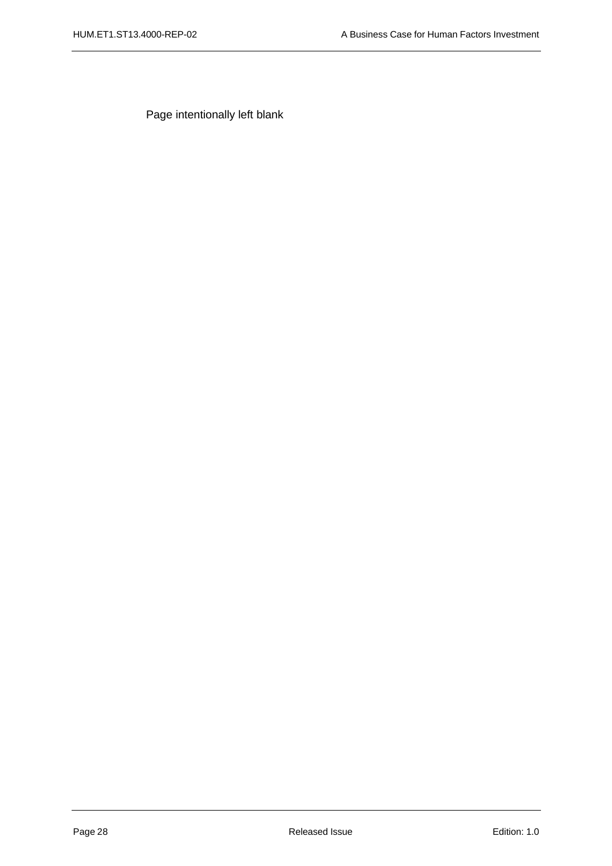Page intentionally left blank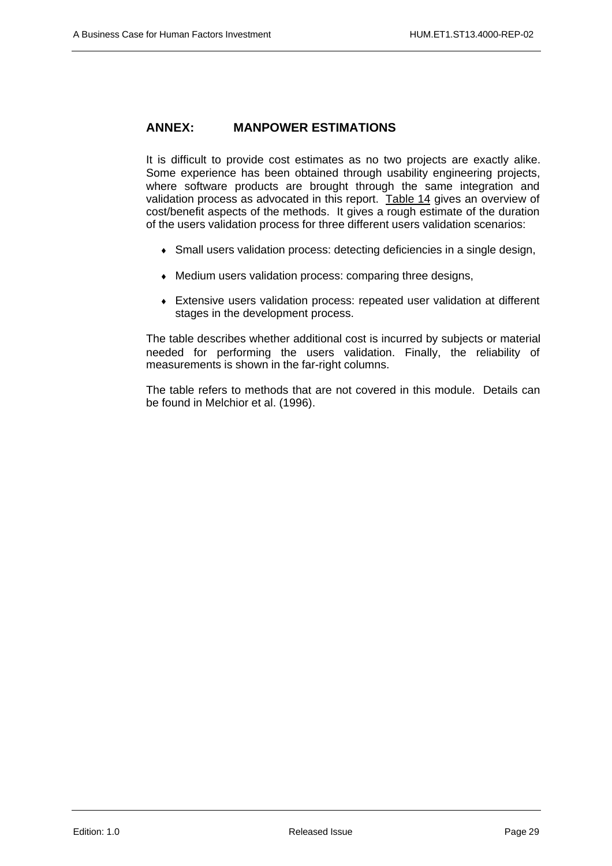#### **ANNEX: MANPOWER ESTIMATIONS**

It is difficult to provide cost estimates as no two projects are exactly alike. Some experience has been obtained through usability engineering projects, where software products are brought through the same integration and validation process as advocated in this report. Table 14 gives an overview of cost/benefit aspects of the methods. It gives a rough estimate of the duration of the users validation process for three different users validation scenarios:

- Small users validation process: detecting deficiencies in a single design,
- Medium users validation process: comparing three designs,
- Extensive users validation process: repeated user validation at different stages in the development process.

The table describes whether additional cost is incurred by subjects or material needed for performing the users validation. Finally, the reliability of measurements is shown in the far-right columns.

The table refers to methods that are not covered in this module. Details can be found in Melchior et al. (1996).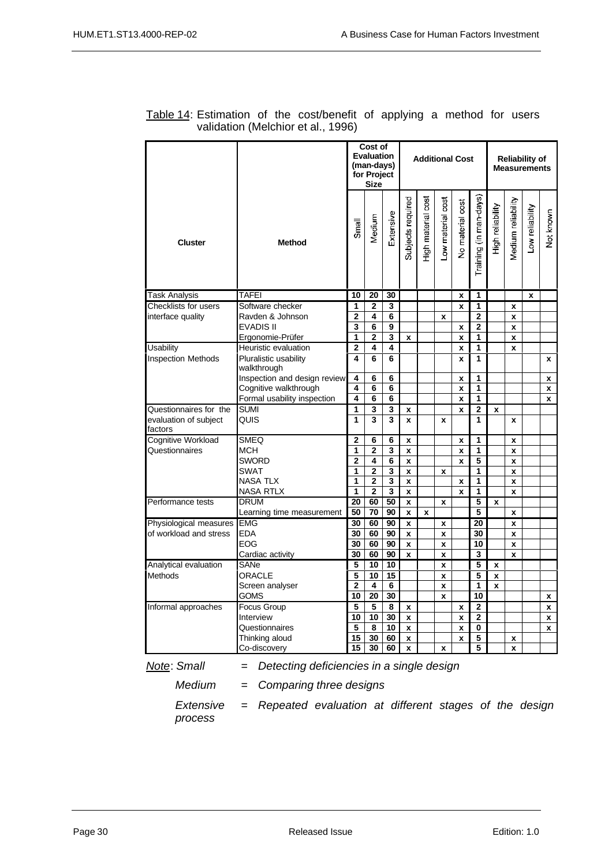|                                  |                                      | Cost of<br><b>Evaluation</b><br>(man-days)<br>for Project<br><b>Size</b> |                |                         | <b>Additional Cost</b>  |                    |                   |                  |                         | <b>Reliability of</b><br><b>Measurements</b> |                    |                           |                    |
|----------------------------------|--------------------------------------|--------------------------------------------------------------------------|----------------|-------------------------|-------------------------|--------------------|-------------------|------------------|-------------------------|----------------------------------------------|--------------------|---------------------------|--------------------|
| <b>Cluster</b>                   | <b>Method</b>                        | Small                                                                    | Medium         | Extensive               | Subjects required       | High material cost | Low material cost | No material cost | Training (in man-days)  | High reliability                             | Medium reliability | Low reliability           | Not known          |
| <b>Task Analysis</b>             | <b>TAFEI</b>                         | 10                                                                       | 20             | 30                      |                         |                    |                   | $\mathbf{x}$     | 1                       |                                              |                    | $\boldsymbol{\mathsf{x}}$ |                    |
| Checklists for users             | Software checker                     | 1                                                                        | $\mathbf{2}$   | $\overline{\mathbf{3}}$ |                         |                    |                   | $\mathbf{x}$     | $\overline{1}$          |                                              | x                  |                           |                    |
| interface quality                | Ravden & Johnson                     | $\mathbf 2$                                                              | 4              | 6                       |                         |                    | x                 |                  | $\overline{2}$          |                                              | X                  |                           |                    |
|                                  | EVADIS II                            | 3                                                                        | 6              | 9                       |                         |                    |                   | X                | $\overline{2}$          |                                              | X                  |                           |                    |
|                                  | Ergonomie-Prüfer                     | 1                                                                        | $\mathbf{2}$   | 3                       | x                       |                    |                   | x                | 1                       |                                              | X                  |                           |                    |
| Usability                        | Heuristic evaluation                 | $\overline{2}$                                                           | 4              | 4                       |                         |                    |                   | X                | 1                       |                                              | X                  |                           |                    |
| <b>Inspection Methods</b>        | Pluralistic usability<br>walkthrough | 4                                                                        | 6              | 6                       |                         |                    |                   | x                | 1                       |                                              |                    |                           | x                  |
|                                  | Inspection and design review         | 4                                                                        | 6              | 6                       |                         |                    |                   | X                | 1                       |                                              |                    |                           | x                  |
|                                  | Cognitive walkthrough                | 4                                                                        | 6              | 6                       |                         |                    |                   | x                | 1                       |                                              |                    |                           | x                  |
|                                  | Formal usability inspection          | 4                                                                        | 6              | 6                       |                         |                    |                   | x                | 1                       |                                              |                    |                           | x                  |
| Questionnaires for the           | <b>SUMI</b>                          | 1                                                                        | 3              | 3                       | x                       |                    |                   | x                | $\mathbf 2$             | x                                            |                    |                           |                    |
| evaluation of subject<br>factors | QUIS                                 | 1                                                                        | 3              | 3                       | $\mathbf{x}$            |                    | x                 |                  | 1                       |                                              | X                  |                           |                    |
| Cognitive Workload               | <b>SMEQ</b>                          | $\overline{2}$                                                           | 6              | 6                       | $\pmb{\mathsf{x}}$      |                    |                   | x                | 1                       |                                              | x                  |                           |                    |
| Questionnaires                   | MCH                                  | 1                                                                        | 2              | 3                       | x                       |                    |                   | x                | $\overline{\mathbf{1}}$ |                                              | X                  |                           |                    |
|                                  | <b>SWORD</b>                         | $\overline{2}$                                                           | 4              | 6                       | x                       |                    |                   | X                | 5                       |                                              | X                  |                           |                    |
|                                  | <b>SWAT</b>                          | 1                                                                        | 2              | 3                       | x                       |                    | x                 |                  | 1                       |                                              | X                  |                           |                    |
|                                  | <b>NASA TLX</b>                      | 1                                                                        | $\overline{2}$ | 3                       | $\mathbf{x}$            |                    |                   | $\mathbf{x}$     | 1                       |                                              | X                  |                           |                    |
|                                  | NASA RTLX                            | 1                                                                        | $\overline{2}$ | 3                       | $\mathbf{x}$            |                    |                   | X                | 1                       |                                              | X                  |                           |                    |
| Performance tests                | <b>DRUM</b>                          | 20                                                                       | 60             | 50                      | X                       |                    | x                 |                  | 5                       | x                                            |                    |                           |                    |
|                                  | Learning time measurement            | 50                                                                       | 70             | 90                      | X                       | X                  |                   |                  | 5                       |                                              | X                  |                           |                    |
| Physiological measures           | <b>EMG</b>                           | 30                                                                       | 60             | 90                      | x                       |                    | x                 |                  | 20                      |                                              | X                  |                           |                    |
| of workload and stress           | <b>EDA</b>                           | 30                                                                       | 60             | 90                      | x                       |                    | x                 |                  | 30                      |                                              | X                  |                           |                    |
|                                  | <b>EOG</b>                           | 30                                                                       | 60             | 90                      | X                       |                    | x                 |                  | 10                      |                                              | X                  |                           |                    |
|                                  | Cardiac activity                     | 30                                                                       | 60             | 90                      | X                       |                    | x                 |                  | 3                       |                                              | X                  |                           |                    |
| Analytical evaluation            | SANe                                 | 5                                                                        | 10             | 10                      |                         |                    | x                 |                  | 5                       | $\mathbf{x}$                                 |                    |                           |                    |
| <b>Methods</b>                   | <b>ORACLE</b>                        | 5                                                                        | 10             | 15                      |                         |                    | x                 |                  | 5                       | x                                            |                    |                           |                    |
|                                  | Screen analyser                      | $\mathbf 2$                                                              | 4              | 6                       |                         |                    | x                 |                  | 1<br>10                 | $\pmb{\mathsf{x}}$                           |                    |                           |                    |
|                                  | <b>GOMS</b><br>Focus Group           | 10<br>5                                                                  | 20<br>5        | 30<br>8                 |                         |                    | x                 |                  | $\overline{2}$          |                                              |                    |                           | x                  |
| Informal approaches              | Interview                            | 10                                                                       | 10             | 30                      | X                       |                    |                   | X<br>x           | $\overline{2}$          |                                              |                    |                           | x<br>$\mathbf{x}$  |
|                                  | Questionnaires                       | 5                                                                        | 8              | 10                      | $\pmb{\mathsf{x}}$<br>X |                    |                   | X                | 0                       |                                              |                    |                           | $\pmb{\mathsf{x}}$ |
|                                  | Thinking aloud                       | 15                                                                       | 30             | 60                      | X                       |                    |                   | X                | $\overline{5}$          |                                              | X                  |                           |                    |
|                                  | Co-discovery                         | 15                                                                       | 30             | 60                      | X                       |                    | X                 |                  | 5                       |                                              | X                  |                           |                    |
|                                  |                                      |                                                                          |                |                         |                         |                    |                   |                  |                         |                                              |                    |                           |                    |

Table 14: Estimation of the cost/benefit of applying a method for users validation (Melchior et al., 1996)

*Note*: *Small = Detecting deficiencies in a single design*

*Medium = Comparing three designs*

*process*

*Extensive = Repeated evaluation at different stages of the design*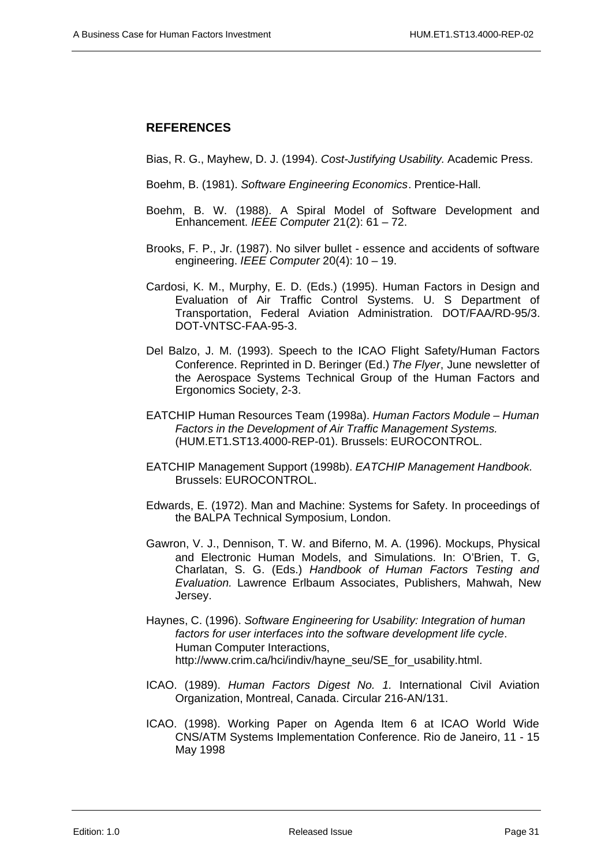### **REFERENCES**

Bias, R. G., Mayhew, D. J. (1994). *Cost-Justifying Usability.* Academic Press.

- Boehm, B. (1981). *Software Engineering Economics*. Prentice-Hall.
- Boehm, B. W. (1988). A Spiral Model of Software Development and Enhancement. *IEEE Computer* 21(2): 61 – 72.
- Brooks, F. P., Jr. (1987). No silver bullet essence and accidents of software engineering. *IEEE Computer* 20(4): 10 – 19.
- Cardosi, K. M., Murphy, E. D. (Eds.) (1995). Human Factors in Design and Evaluation of Air Traffic Control Systems. U. S Department of Transportation, Federal Aviation Administration. DOT/FAA/RD-95/3. DOT-VNTSC-FAA-95-3.
- Del Balzo, J. M. (1993). Speech to the ICAO Flight Safety/Human Factors Conference. Reprinted in D. Beringer (Ed.) *The Flyer*, June newsletter of the Aerospace Systems Technical Group of the Human Factors and Ergonomics Society, 2-3.
- EATCHIP Human Resources Team (1998a). *Human Factors Module Human Factors in the Development of Air Traffic Management Systems.* (HUM.ET1.ST13.4000-REP-01). Brussels: EUROCONTROL.
- EATCHIP Management Support (1998b). *EATCHIP Management Handbook.* Brussels: EUROCONTROL.
- Edwards, E. (1972). Man and Machine: Systems for Safety. In proceedings of the BALPA Technical Symposium, London.
- Gawron, V. J., Dennison, T. W. and Biferno, M. A. (1996). Mockups, Physical and Electronic Human Models, and Simulations. In: O'Brien, T. G, Charlatan, S. G. (Eds.) *Handbook of Human Factors Testing and Evaluation.* Lawrence Erlbaum Associates, Publishers, Mahwah, New Jersey.
- Haynes, C. (1996). *Software Engineering for Usability: Integration of human factors for user interfaces into the software development life cycle*. Human Computer Interactions, http://www.crim.ca/hci/indiv/hayne\_seu/SE\_for\_usability.html.
- ICAO. (1989). *Human Factors Digest No. 1.* International Civil Aviation Organization, Montreal, Canada. Circular 216-AN/131.
- ICAO. (1998). Working Paper on Agenda Item 6 at ICAO World Wide CNS/ATM Systems Implementation Conference. Rio de Janeiro, 11 - 15 May 1998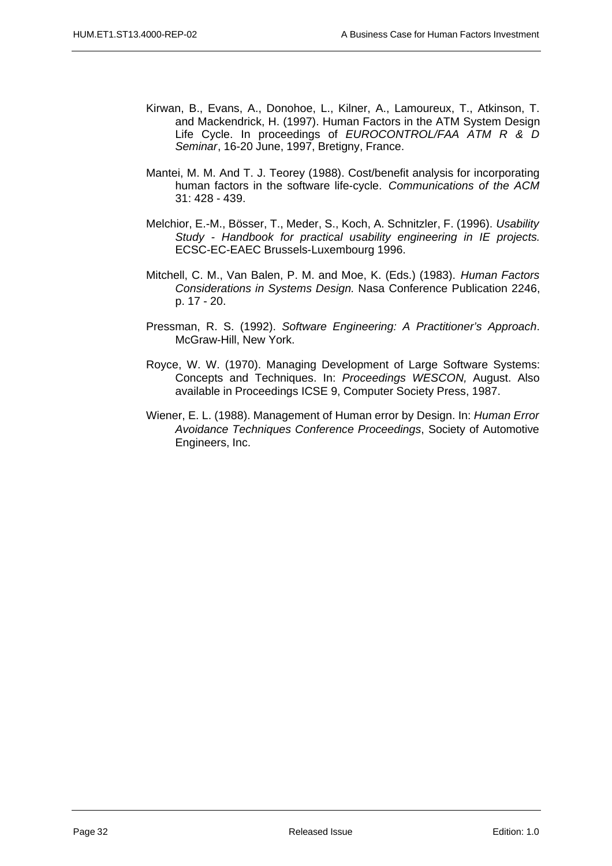- Kirwan, B., Evans, A., Donohoe, L., Kilner, A., Lamoureux, T., Atkinson, T. and Mackendrick, H. (1997). Human Factors in the ATM System Design Life Cycle. In proceedings of *EUROCONTROL/FAA ATM R & D Seminar*, 16-20 June, 1997, Bretigny, France.
- Mantei, M. M. And T. J. Teorey (1988). Cost/benefit analysis for incorporating human factors in the software life-cycle. *Communications of the ACM* 31: 428 - 439.
- Melchior, E.-M., Bösser, T., Meder, S., Koch, A. Schnitzler, F. (1996). *Usability Study - Handbook for practical usability engineering in IE projects.* ECSC-EC-EAEC Brussels-Luxembourg 1996.
- Mitchell, C. M., Van Balen, P. M. and Moe, K. (Eds.) (1983). *Human Factors Considerations in Systems Design.* Nasa Conference Publication 2246, p. 17 - 20.
- Pressman, R. S. (1992). *Software Engineering: A Practitioner's Approach*. McGraw-Hill, New York.
- Royce, W. W. (1970). Managing Development of Large Software Systems: Concepts and Techniques. In: *Proceedings WESCON,* August. Also available in Proceedings ICSE 9, Computer Society Press, 1987.
- Wiener, E. L. (1988). Management of Human error by Design. In: *Human Error Avoidance Techniques Conference Proceedings*, Society of Automotive Engineers, Inc.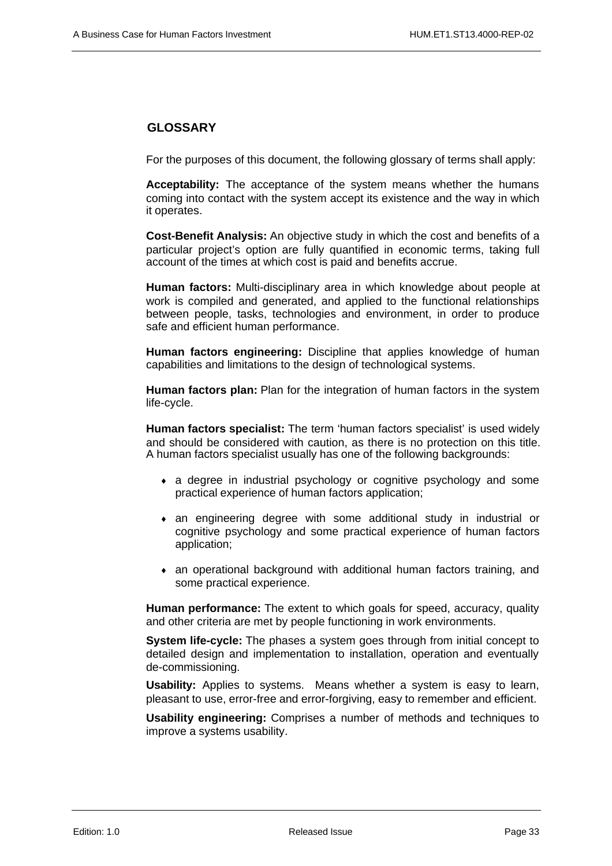#### **GLOSSARY**

For the purposes of this document, the following glossary of terms shall apply:

**Acceptability:** The acceptance of the system means whether the humans coming into contact with the system accept its existence and the way in which it operates.

**Cost-Benefit Analysis:** An objective study in which the cost and benefits of a particular project's option are fully quantified in economic terms, taking full account of the times at which cost is paid and benefits accrue.

**Human factors:** Multi-disciplinary area in which knowledge about people at work is compiled and generated, and applied to the functional relationships between people, tasks, technologies and environment, in order to produce safe and efficient human performance.

**Human factors engineering:** Discipline that applies knowledge of human capabilities and limitations to the design of technological systems.

**Human factors plan:** Plan for the integration of human factors in the system life-cycle.

**Human factors specialist:** The term 'human factors specialist' is used widely and should be considered with caution, as there is no protection on this title. A human factors specialist usually has one of the following backgrounds:

- a degree in industrial psychology or cognitive psychology and some practical experience of human factors application;
- an engineering degree with some additional study in industrial or cognitive psychology and some practical experience of human factors application;
- an operational background with additional human factors training, and some practical experience.

**Human performance:** The extent to which goals for speed, accuracy, quality and other criteria are met by people functioning in work environments.

**System life-cycle:** The phases a system goes through from initial concept to detailed design and implementation to installation, operation and eventually de-commissioning.

**Usability:** Applies to systems. Means whether a system is easy to learn, pleasant to use, error-free and error-forgiving, easy to remember and efficient.

**Usability engineering:** Comprises a number of methods and techniques to improve a systems usability.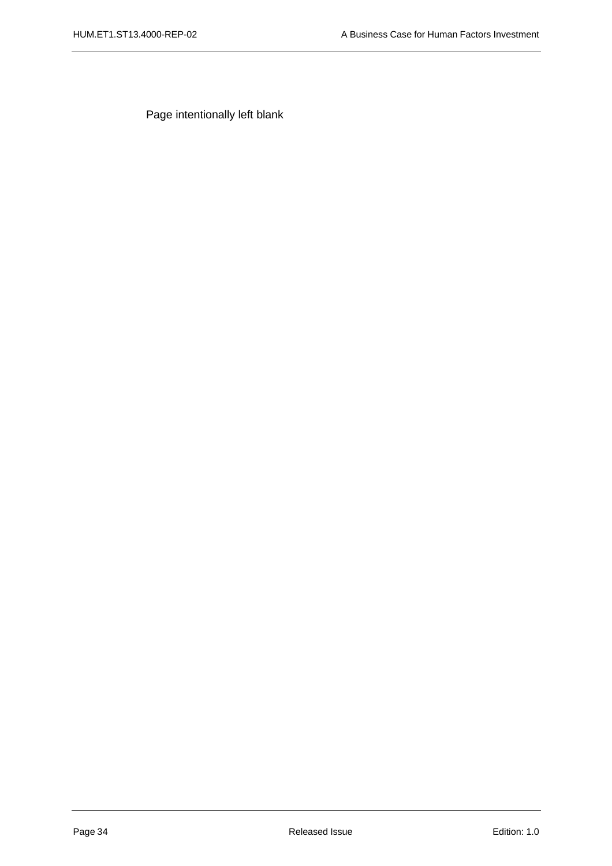Page intentionally left blank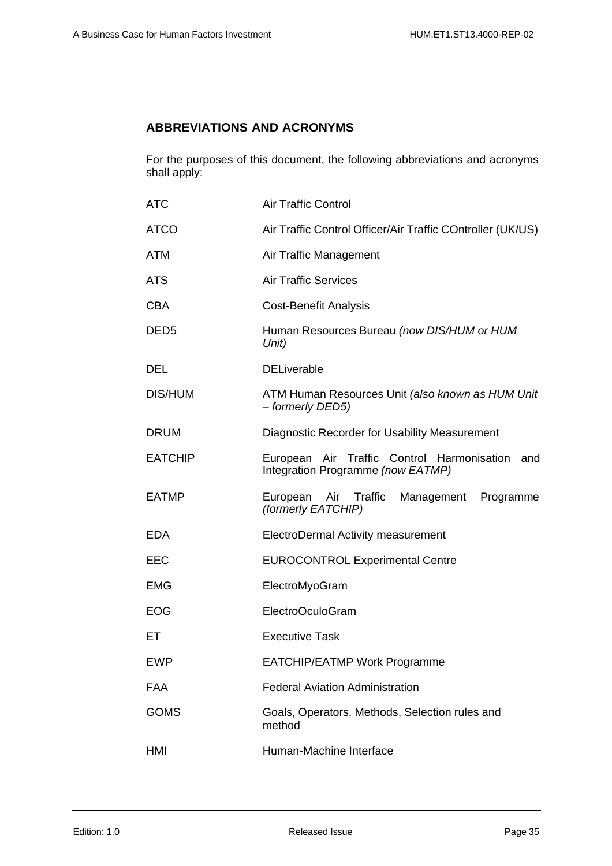# **ABBREVIATIONS AND ACRONYMS**

For the purposes of this document, the following abbreviations and acronyms shall apply:

| <b>ATC</b>       | <b>Air Traffic Control</b>                                                             |  |  |  |
|------------------|----------------------------------------------------------------------------------------|--|--|--|
| <b>ATCO</b>      | Air Traffic Control Officer/Air Traffic COntroller (UK/US)                             |  |  |  |
| <b>ATM</b>       | Air Traffic Management                                                                 |  |  |  |
| <b>ATS</b>       | <b>Air Traffic Services</b>                                                            |  |  |  |
| <b>CBA</b>       | <b>Cost-Benefit Analysis</b>                                                           |  |  |  |
| DED <sub>5</sub> | Human Resources Bureau (now DIS/HUM or HUM<br>Unit)                                    |  |  |  |
| <b>DEL</b>       | <b>DELiverable</b>                                                                     |  |  |  |
| <b>DIS/HUM</b>   | ATM Human Resources Unit (also known as HUM Unit<br>- formerly DED5)                   |  |  |  |
| <b>DRUM</b>      | Diagnostic Recorder for Usability Measurement                                          |  |  |  |
| <b>EATCHIP</b>   | European Air Traffic Control Harmonisation<br>and<br>Integration Programme (now EATMP) |  |  |  |
| <b>EATMP</b>     | Air Traffic<br>European<br>Management Programme<br>(formerly EATCHIP)                  |  |  |  |
| <b>EDA</b>       | ElectroDermal Activity measurement                                                     |  |  |  |
| EEC              | <b>EUROCONTROL Experimental Centre</b>                                                 |  |  |  |
| <b>EMG</b>       | ElectroMyoGram                                                                         |  |  |  |
| <b>EOG</b>       | ElectroOculoGram                                                                       |  |  |  |
| EТ               | <b>Executive Task</b>                                                                  |  |  |  |
| <b>EWP</b>       | <b>EATCHIP/EATMP Work Programme</b>                                                    |  |  |  |
| <b>FAA</b>       | <b>Federal Aviation Administration</b>                                                 |  |  |  |
| <b>GOMS</b>      | Goals, Operators, Methods, Selection rules and<br>method                               |  |  |  |
| HMI              | Human-Machine Interface                                                                |  |  |  |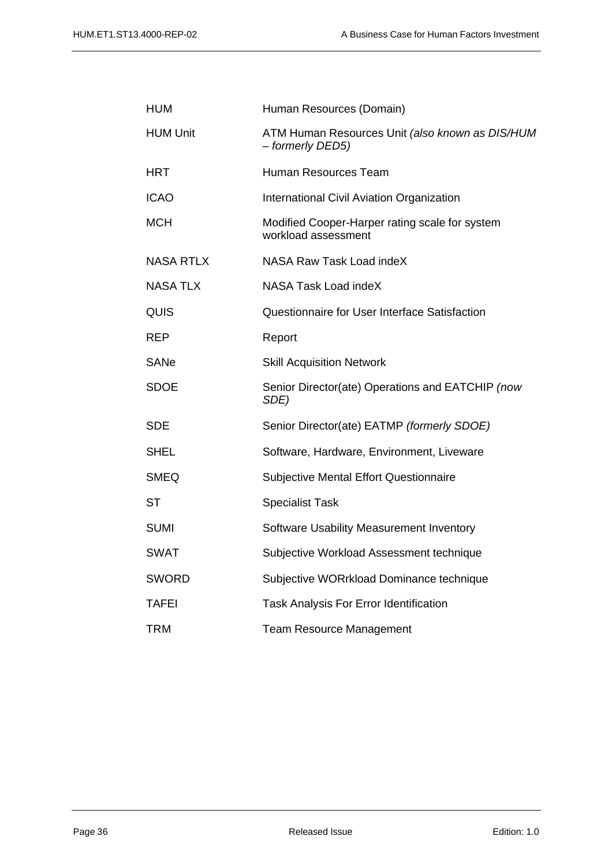| HUM              | Human Resources (Domain)                                              |
|------------------|-----------------------------------------------------------------------|
| <b>HUM Unit</b>  | ATM Human Resources Unit (also known as DIS/HUM<br>- formerly DED5)   |
| HRT              | Human Resources Team                                                  |
| <b>ICAO</b>      | <b>International Civil Aviation Organization</b>                      |
| MCH              | Modified Cooper-Harper rating scale for system<br>workload assessment |
| <b>NASA RTLX</b> | NASA Raw Task Load indeX                                              |
| <b>NASA TLX</b>  | NASA Task Load indeX                                                  |
| QUIS             | Questionnaire for User Interface Satisfaction                         |
| REP              | Report                                                                |
| SANe             | <b>Skill Acquisition Network</b>                                      |
| <b>SDOE</b>      | Senior Director(ate) Operations and EATCHIP (now<br>SDE)              |
| <b>SDE</b>       | Senior Director(ate) EATMP (formerly SDOE)                            |
| SHEL             | Software, Hardware, Environment, Liveware                             |
| <b>SMEQ</b>      | Subjective Mental Effort Questionnaire                                |
| ST               | <b>Specialist Task</b>                                                |
| <b>SUMI</b>      | Software Usability Measurement Inventory                              |
| <b>SWAT</b>      | Subjective Workload Assessment technique                              |
| SWORD            | Subjective WORrkload Dominance technique                              |
| <b>TAFEI</b>     | Task Analysis For Error Identification                                |
| TRM              | <b>Team Resource Management</b>                                       |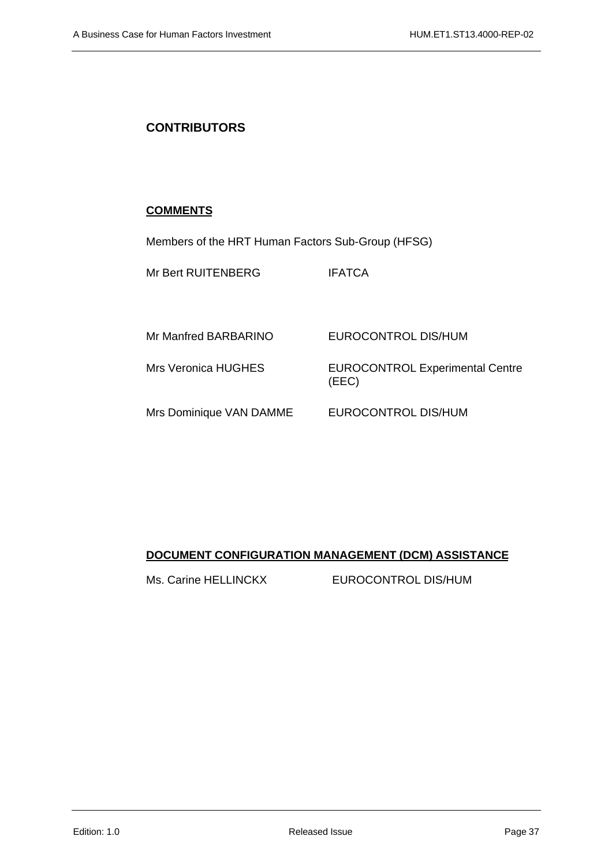#### **CONTRIBUTORS**

#### **COMMENTS**

Members of the HRT Human Factors Sub-Group (HFSG)

Mr Bert RUITENBERG IFATCA

Mr Manfred BARBARINO EUROCONTROL DIS/HUM

Mrs Veronica HUGHES EUROCONTROL Experimental Centre (EEC)

Mrs Dominique VAN DAMME EUROCONTROL DIS/HUM

#### **DOCUMENT CONFIGURATION MANAGEMENT (DCM) ASSISTANCE**

Ms. Carine HELLINCKX EUROCONTROL DIS/HUM